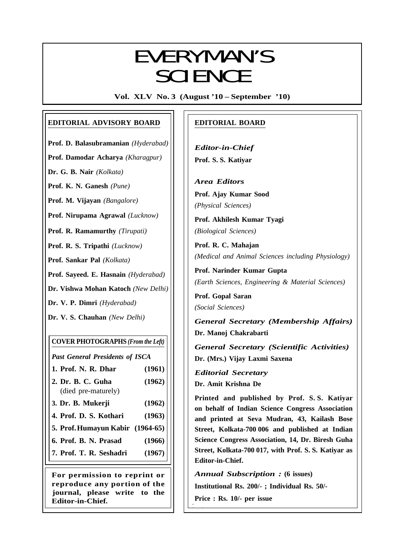# **EVERYMAN'S SCIENCE**

**Vol. XLV No. 3 (August '10 – September '10)**

# **EDITORIAL ADVISORY BOARD**

**Prof. D. Balasubramanian** *(Hyderabad)*

**Prof. Damodar Acharya** *(Kharagpur)*

**Dr. G. B. Nair** *(Kolkata)*

**Prof. K. N. Ganesh** *(Pune)*

**Prof. M. Vijayan** *(Bangalore)*

**Prof. Nirupama Agrawal** *(Lucknow)*

**Prof. R. Ramamurthy** *(Tirupati)*

**Prof. R. S. Tripathi** *(Lucknow)*

**Prof. Sankar Pal** *(Kolkata)*

**Prof. Sayeed. E. Hasnain** *(Hyderabad)*

**Dr. Vishwa Mohan Katoch** *(New Delhi)*

**Dr. V. P. Dimri** *(Hyderabad)*

**Dr. V. S. Chauhan** *(New Delhi)*

# **COVER PHOTOGRAPHS** *(From the Left)*

*Past General Presidents of ISCA*

| 1. Prof. N. R. Dhar | (1961) |
|---------------------|--------|
| 2. Dr. B. C. Guha   | (1962) |
| (died pre-maturely) |        |

- **3. Dr. B. Mukerji (1962)**
- **4. Prof. D. S. Kothari (1963)**
- **5. Prof.Humayun Kabir (1964-65)**
- **6. Prof. B. N. Prasad (1966)**
- **7. Prof. T. R. Seshadri (1967)**

**For permission to reprint or reproduce any portion of the journal, please write to the Editor-in-Chief.**

# **EDITORIAL BOARD**

*Editor-in-Chief* **Prof. S. S. Katiyar**

*Area Editors* **Prof. Ajay Kumar Sood** *(Physical Sciences)*

**Prof. Akhilesh Kumar Tyagi** *(Biological Sciences)*

**Prof. R. C. Mahajan** *(Medical and Animal Sciences including Physiology)*

**Prof. Narinder Kumar Gupta** *(Earth Sciences, Engineering & Material Sciences)*

**Prof. Gopal Saran** *(Social Sciences)*

*General Secretary (Membership Affairs)* **Dr. Manoj Chakrabarti**

*General Secretary (Scientific Activities)* **Dr. (Mrs.) Vijay Laxmi Saxena**

*Editorial Secretary* **Dr. Amit Krishna De**

**Printed and published by Prof. S. S. Katiyar on behalf of Indian Science Congress Association and printed at Seva Mudran, 43, Kailash Bose Street, Kolkata-700 006 and published at Indian Science Congress Association, 14, Dr. Biresh Guha Street, Kolkata-700 017, with Prof. S. S. Katiyar as Editor-in-Chief.**

*Annual Subscription :* **(6 issues) Institutional Rs. 200/- ; Individual Rs. 50/-**

**Price : Rs. 10/- per issue**

 $\mathbf{1}_{\mathbf{1}_{\mathbf{1}_{\mathbf{1}}}}$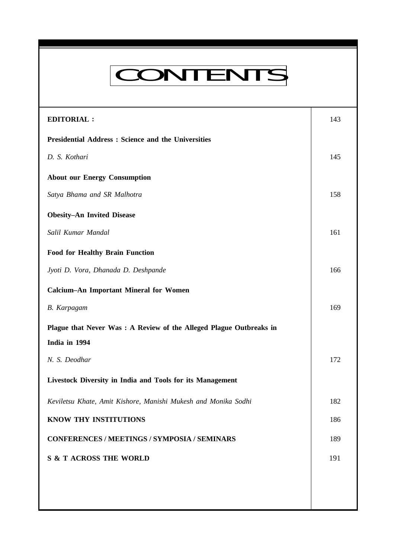# CONTENTS

**Everyman's Science VOL. XLV NO. 3, Aug. '10 — Sept. '10**

| <b>EDITORIAL:</b>                                                  | 143 |
|--------------------------------------------------------------------|-----|
| <b>Presidential Address : Science and the Universities</b>         |     |
| D. S. Kothari                                                      | 145 |
| <b>About our Energy Consumption</b>                                |     |
| Satya Bhama and SR Malhotra                                        | 158 |
| <b>Obesity-An Invited Disease</b>                                  |     |
| Salil Kumar Mandal                                                 | 161 |
| <b>Food for Healthy Brain Function</b>                             |     |
| Jyoti D. Vora, Dhanada D. Deshpande                                | 166 |
| <b>Calcium-An Important Mineral for Women</b>                      |     |
| <b>B.</b> Karpagam                                                 | 169 |
| Plague that Never Was: A Review of the Alleged Plague Outbreaks in |     |
| India in 1994                                                      |     |
| N. S. Deodhar                                                      | 172 |
| Livestock Diversity in India and Tools for its Management          |     |
| Keviletsu Khate, Amit Kishore, Manishi Mukesh and Monika Sodhi     | 182 |
| KNOW THY INSTITUTIONS                                              | 186 |
| <b>CONFERENCES / MEETINGS / SYMPOSIA / SEMINARS</b>                | 189 |
| <b>S &amp; T ACROSS THE WORLD</b>                                  | 191 |
|                                                                    |     |
|                                                                    |     |
|                                                                    |     |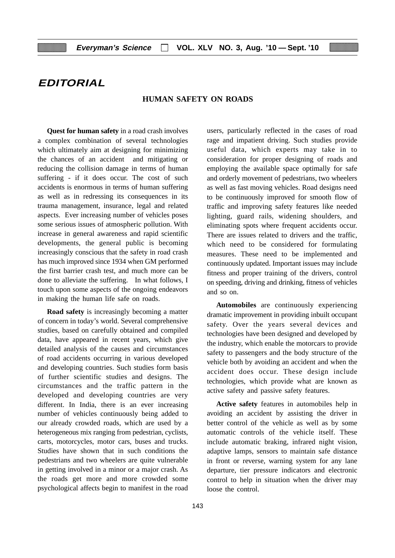# **EDITORIAL**

# **HUMAN SAFETY ON ROADS**

**Quest for human safety** in a road crash involves a complex combination of several technologies which ultimately aim at designing for minimizing the chances of an accident and mitigating or reducing the collision damage in terms of human suffering - if it does occur. The cost of such accidents is enormous in terms of human suffering as well as in redressing its consequences in its trauma management, insurance, legal and related aspects. Ever increasing number of vehicles poses some serious issues of atmospheric pollution. With increase in general awareness and rapid scientific developments, the general public is becoming increasingly conscious that the safety in road crash has much improved since 1934 when GM performed the first barrier crash test, and much more can be done to alleviate the suffering. In what follows, I touch upon some aspects of the ongoing endeavors in making the human life safe on roads.

**Road safety** is increasingly becoming a matter of concern in today's world. Several comprehensive studies, based on carefully obtained and compiled data, have appeared in recent years, which give detailed analysis of the causes and circumstances of road accidents occurring in various developed and developing countries. Such studies form basis of further scientific studies and designs. The circumstances and the traffic pattern in the developed and developing countries are very different. In India, there is an ever increasing number of vehicles continuously being added to our already crowded roads, which are used by a heterogeneous mix ranging from pedestrian, cyclists, carts, motorcycles, motor cars, buses and trucks. Studies have shown that in such conditions the pedestrians and two wheelers are quite vulnerable in getting involved in a minor or a major crash. As the roads get more and more crowded some psychological affects begin to manifest in the road

users, particularly reflected in the cases of road rage and impatient driving. Such studies provide useful data, which experts may take in to consideration for proper designing of roads and employing the available space optimally for safe and orderly movement of pedestrians, two wheelers as well as fast moving vehicles. Road designs need to be continuously improved for smooth flow of traffic and improving safety features like needed lighting, guard rails, widening shoulders, and eliminating spots where frequent accidents occur. There are issues related to drivers and the traffic, which need to be considered for formulating measures. These need to be implemented and continuously updated. Important issues may include fitness and proper training of the drivers, control on speeding, driving and drinking, fitness of vehicles and so on.

**Automobiles** are continuously experiencing dramatic improvement in providing inbuilt occupant safety. Over the years several devices and technologies have been designed and developed by the industry, which enable the motorcars to provide safety to passengers and the body structure of the vehicle both by avoiding an accident and when the accident does occur. These design include technologies, which provide what are known as active safety and passive safety features.

**Active safety** features in automobiles help in avoiding an accident by assisting the driver in better control of the vehicle as well as by some automatic controls of the vehicle itself. These include automatic braking, infrared night vision, adaptive lamps, sensors to maintain safe distance in front or reverse, warning system for any lane departure, tier pressure indicators and electronic control to help in situation when the driver may loose the control.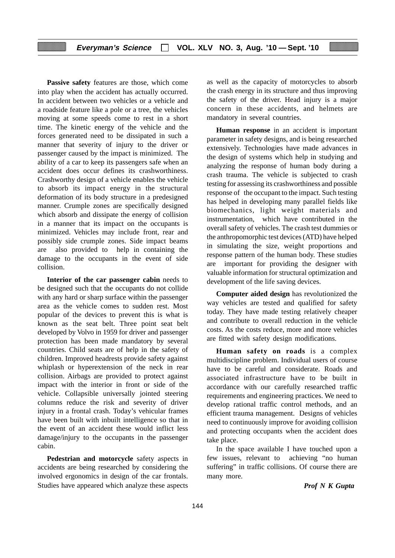**Passive safety** features are those, which come into play when the accident has actually occurred. In accident between two vehicles or a vehicle and a roadside feature like a pole or a tree, the vehicles moving at some speeds come to rest in a short time. The kinetic energy of the vehicle and the forces generated need to be dissipated in such a manner that severity of injury to the driver or passenger caused by the impact is minimized. The ability of a car to keep its passengers safe when an accident does occur defines its crashworthiness. Crashworthy design of a vehicle enables the vehicle to absorb its impact energy in the structural deformation of its body structure in a predesigned manner. Crumple zones are specifically designed which absorb and dissipate the energy of collision in a manner that its impact on the occupants is minimized. Vehicles may include front, rear and possibly side crumple zones. Side impact beams are also provided to help in containing the damage to the occupants in the event of side collision.

**Interior of the car passenger cabin** needs to be designed such that the occupants do not collide with any hard or sharp surface within the passenger area as the vehicle comes to sudden rest. Most popular of the devices to prevent this is what is known as the seat belt. Three point seat belt developed by Volvo in 1959 for driver and passenger protection has been made mandatory by several countries. Child seats are of help in the safety of children. Improved headrests provide safety against whiplash or hyperextension of the neck in rear collision. Airbags are provided to protect against impact with the interior in front or side of the vehicle. Collapsible universally jointed steering columns reduce the risk and severity of driver injury in a frontal crash. Today's vehicular frames have been built with inbuilt intelligence so that in the event of an accident these would inflict less damage/injury to the occupants in the passenger cabin.

**Pedestrian and motorcycle** safety aspects in accidents are being researched by considering the involved ergonomics in design of the car frontals. Studies have appeared which analyze these aspects

as well as the capacity of motorcycles to absorb the crash energy in its structure and thus improving the safety of the driver. Head injury is a major concern in these accidents, and helmets are mandatory in several countries.

**Human response** in an accident is important parameter in safety designs, and is being researched extensively. Technologies have made advances in the design of systems which help in studying and analyzing the response of human body during a crash trauma. The vehicle is subjected to crash testing for assessing its crashworthiness and possible response of the occupant to the impact. Such testing has helped in developing many parallel fields like biomechanics, light weight materials and instrumentation, which have contributed in the overall safety of vehicles. The crash test dummies or the anthropomorphic test devices (ATD) have helped in simulating the size, weight proportions and response pattern of the human body. These studies are important for providing the designer with valuable information for structural optimization and development of the life saving devices.

**Computer aided design** has revolutionized the way vehicles are tested and qualified for safety today. They have made testing relatively cheaper and contribute to overall reduction in the vehicle costs. As the costs reduce, more and more vehicles are fitted with safety design modifications.

**Human safety on roads** is a complex multidiscipline problem. Individual users of course have to be careful and considerate. Roads and associated infrastructure have to be built in accordance with our carefully researched traffic requirements and engineering practices. We need to develop rational traffic control methods, and an efficient trauma management. Designs of vehicles need to continuously improve for avoiding collision and protecting occupants when the accident does take place.

In the space available I have touched upon a few issues, relevant to achieving "no human suffering" in traffic collisions. Of course there are many more.

*Prof N K Gupta*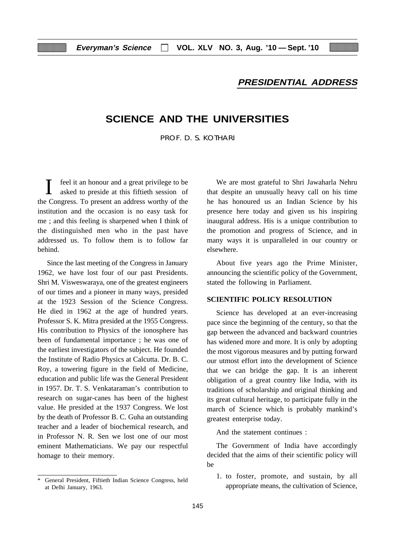# **PRESIDENTIAL ADDRESS**

# **SCIENCE AND THE UNIVERSITIES**

PROF. D. S. KOTHARI

feel it an honour and a great privilege to be asked to preside at this fiftieth session of the Congress. To present an address worthy of the institution and the occasion is no easy task for me ; and this feeling is sharpened when I think of the distinguished men who in the past have addressed us. To follow them is to follow far behind.

Since the last meeting of the Congress in January 1962, we have lost four of our past Presidents. Shri M. Visweswaraya, one of the greatest engineers of our times and a pioneer in many ways, presided at the 1923 Session of the Science Congress. He died in 1962 at the age of hundred years. Professor S. K. Mitra presided at the 1955 Congress. His contribution to Physics of the ionosphere has been of fundamental importance ; he was one of the earliest investigators of the subject. He founded the Institute of Radio Physics at Calcutta. Dr. B. C. Roy, a towering figure in the field of Medicine, education and public life was the General President in 1957. Dr. T. S. Venkataraman's contribution to research on sugar-canes has been of the highest value. He presided at the 1937 Congress. We lost by the death of Professor B. C. Guha an outstanding teacher and a leader of biochemical research, and in Professor N. R. Sen we lost one of our most eminent Mathematicians. We pay our respectful homage to their memory.

General President, Fiftieth Indian Science Congress, held at Delhi January, 1963.

We are most grateful to Shri Jawaharla Nehru that despite an unusually heavy call on his time he has honoured us an Indian Science by his presence here today and given us his inspiring inaugural address. His is a unique contribution to the promotion and progress of Science, and in many ways it is unparalleled in our country or elsewhere.

About five years ago the Prime Minister, announcing the scientific policy of the Government, stated the following in Parliament.

#### **SCIENTIFIC POLICY RESOLUTION**

Science has developed at an ever-increasing pace since the beginning of the century, so that the gap between the advanced and backward countries has widened more and more. It is only by adopting the most vigorous measures and by putting forward our utmost effort into the development of Science that we can bridge the gap. It is an inherent obligation of a great country like India, with its traditions of scholarship and original thinking and its great cultural heritage, to participate fully in the march of Science which is probably mankind's greatest enterprise today.

And the statement continues :

The Government of India have accordingly decided that the aims of their scientific policy will be

1. to foster, promote, and sustain, by all appropriate means, the cultivation of Science,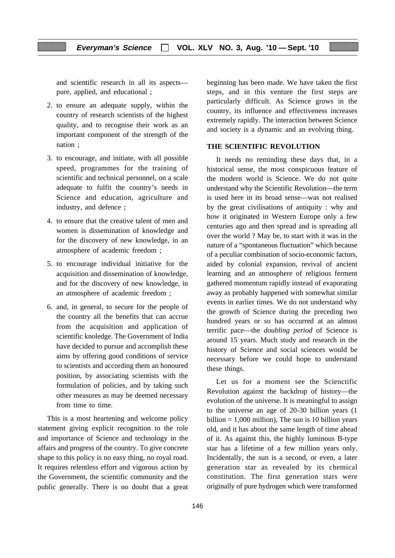and scientific research in all its aspects pure, applied, and educational ;

- 2. to ensure an adequate supply, within the country of research scientists of the highest quality, and to recognise their work as an important component of the strength of the nation ;
- 3. to encourage, and initiate, with all possible speed, programmes for the training of scientific and technical personnel, on a scale adequate to fulfit the country's needs in Science and education, agriculture and industry, and defence ;
- 4. to ensure that the creative talent of men and women is dissemination of knowledge and for the discovery of new knowledge, in an atmosphere of academic freedom ;
- 5. to encourage individual initiative for the acquisition and dissemination of knowledge, and for the discovery of new knowledge, in an atmosphere of academic freedom ;
- 6. and, in general, to secure for the people of the country all the benefits that can accrue from the acquisition and application of scientific knoledge. The Government of India have decided to pursue and accomplish these aims by offering good conditions of service to scientists and according them an honoured position, by associating scientists with the formulation of policies, and by taking such other measures as may be deemed necessary from time to time.

This is a most heartening and welcome policy statement giving explicit recognition to the role and importance of Science and technology in the affairs and progress of the country. To give concrete shape to this policy is no easy thing, no royal road. It requires relentless effort and vigorous action by the Government, the scientific community and the public generally. There is no doubt that a great beginning has been made. We have taken the first steps, and in this venture the first steps are particularly difficult. As Science grows in the country, its influence and effectiveness increases extremely rapidly. The interaction between Science and society is a dynamic and an evolving thing.

# **THE SCIENTIFIC REVOLUTION**

It needs no reminding these days that, in a historical sense, the most conspicuous feature of the modern world is Science. We do not quite understand why the Scientific Revolution—the term is used here in its broad sense—was not realised by the great civilisations of antiquity : why and how it originated in Western Europe only a few centuries ago and then spread and is spreading all over the world ? May be, to start with it was in the nature of a "spontaneous fluctuation" which because of a peculiar combination of socio-economic factors, aided by colonial expansion, revival of ancient learning and an atmosphere of religious ferment gathered momentum rapidly instead of evaporating away as probably happened with somewhat similar events in earlier times. We do not understand why the growth of Science during the preceding two hundred years or so has occurred at an almost terrific pace—the *doubling period* of Science is around 15 years. Much study and research in the history of Science and social sciences would be necessary before we could hope to understand these things.

Let us for a moment see the Scienctific Revolution against the backdrop of history—the evolution of the universe. It is meaningful to assign to the universe an age of 20-30 billion years (1 billion  $= 1,000$  million), The sun is 10 billion years old, and it has about the same length of time ahead of it. As against this, the highly luminous B-type star has a lifetime of a few million years only. Incidentally, the sun is a second, or even, a later generation star as revealed by its chemical constitution. The first generation stars were originally of pure hydrogen which were transformed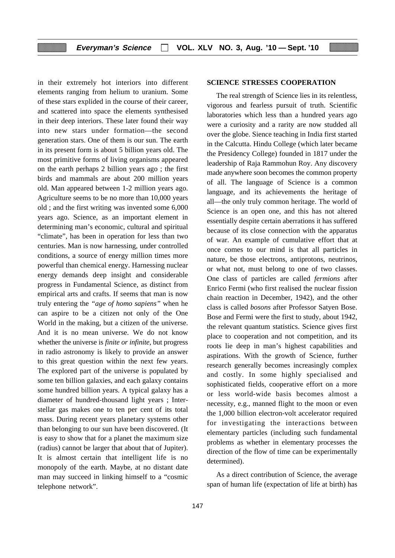in their extremely hot interiors into different elements ranging from helium to uranium. Some of these stars explided in the course of their career, and scattered into space the elements synthesised in their deep interiors. These later found their way into new stars under formation—the second generation stars. One of them is our sun. The earth in its present form is about 5 billion years old. The most primitive forms of living organisms appeared on the earth perhaps 2 billion years ago ; the first birds and mammals are about 200 million years old. Man appeared between 1-2 million years ago. Agriculture seems to be no more than 10,000 years old ; and the first writing was invented some 6,000 years ago. Science, as an important element in determining man's economic, cultural and spiritual "climate", has been in operation for less than two centuries. Man is now harnessing, under controlled conditions, a source of energy million times more powerful than chemical energy. Harnessing nuclear energy demands deep insight and considerable progress in Fundamental Science, as distinct from empirical arts and crafts. If seems that man is now truly entering the *"age of homo sapiens"* when he can aspire to be a citizen not only of the One World in the making, but a citizen of the universe. And it is no mean universe. We do not know whether the universe is *finite or infinite*, but progress in radio astronomy is likely to provide an answer to this great question within the next few years. The explored part of the universe is populated by some ten billion galaxies, and each galaxy contains some hundred billion years. A typical galaxy has a diameter of hundred-thousand light years ; Interstellar gas makes one to ten per cent of its total mass. During recent years planetary systems other than belonging to our sun have been discovered. (It is easy to show that for a planet the maximum size (radius) cannot be larger that about that of Jupiter). It is almost certain that intelligent life is no monopoly of the earth. Maybe, at no distant date man may succeed in linking himself to a "cosmic telephone network".

#### **SCIENCE STRESSES COOPERATION**

The real strength of Science lies in its relentless, vigorous and fearless pursuit of truth. Scientific laboratories which less than a hundred years ago were a curiosity and a rarity are now studded all over the globe. Sience teaching in India first started in the Calcutta. Hindu College (which later became the Presidency College) founded in 1817 under the leadership of Raja Rammohun Roy. Any discovery made anywhere soon becomes the common property of all. The language of Science is a common language, and its achievements the heritage of all—the only truly common heritage. The world of Science is an open one, and this has not altered essentially despite certain aberrations it has suffered because of its close connection with the apparatus of war. An example of cumulative effort that at once comes to our mind is that all particles in nature, be those electrons, antiprotons, neutrinos, or what not, must belong to one of two classes. One class of particles are called *fermions* after Enrico Fermi (who first realised the nuclear fission chain reaction in December, 1942), and the other class is called *bosons* after Professor Satyen Bose. Bose and Fermi were the first to study, about 1942, the relevant quantum statistics. Science gives first place to cooperation and not competition, and its roots lie deep in man's highest capabilities and aspirations. With the growth of Science, further research generally becomes increasingly complex and costly. In some highly specialised and sophisticated fields, cooperative effort on a more or less world-wide basis becomes almost a necessity, e.g., manned flight to the moon or even the 1,000 billion electron-volt accelerator required for investigating the interactions between elementary particles (including such fundamental problems as whether in elementary processes the direction of the flow of time can be experimentally determined).

As a direct contribution of Science, the average span of human life (expectation of life at birth) has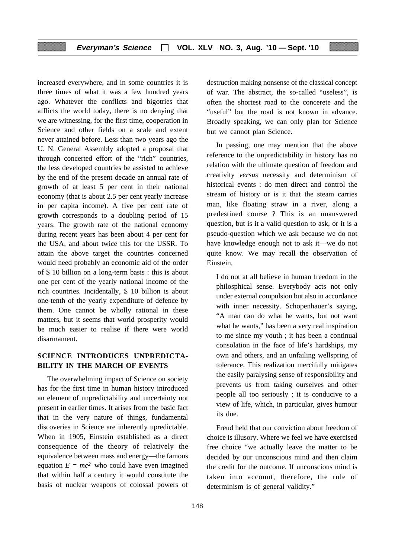increased everywhere, and in some countries it is three times of what it was a few hundred years ago. Whatever the conflicts and bigotries that afflicts the world today, there is no denying that we are witnessing, for the first time, cooperation in Science and other fields on a scale and extent never attained before. Less than two years ago the U. N. General Assembly adopted a proposal that through concerted effort of the "rich" countries, the less developed countries be assisted to achieve by the end of the present decade an annual rate of growth of at least 5 per cent in their national economy (that is about 2.5 per cent yearly increase in per capita income). A five per cent rate of growth corresponds to a doubling period of 15 years. The growth rate of the national economy during recent years has been about 4 per cent for the USA, and about twice this for the USSR. To attain the above target the countries concerned would need probably an economic aid of the order of \$ 10 billion on a long-term basis : this is about one per cent of the yearly national income of the rich countries. Incidentally, \$ 10 billion is about one-tenth of the yearly expenditure of defence by them. One cannot be wholly rational in these matters, but it seems that world prosperity would be much easier to realise if there were world disarmament.

# **SCIENCE INTRODUCES UNPREDICTA-BILITY IN THE MARCH OF EVENTS**

The overwhelming impact of Science on society has for the first time in human history introduced an element of unpredictability and uncertainty not present in earlier times. It arises from the basic fact that in the very nature of things, fundamental discoveries in Science are inherently upredictable. When in 1905, Einstein established as a direct consequence of the theory of relatively the equivalence between mass and energy—the famous equation  $E = mc^2$ -who could have even imagined that within half a century it would constitute the basis of nuclear weapons of colossal powers of destruction making nonsense of the classical concept of war. The abstract, the so-called "useless", is often the shortest road to the concerete and the "useful" but the road is not known in advance. Broadly speaking, we can only plan for Science but we cannot plan Science.

In passing, one may mention that the above reference to the unpredictability in history has no relation with the ultimate question of freedom and creativity *versus* necessity and determinism of historical events : do men direct and control the stream of history or is it that the steam carries man, like floating straw in a river, along a predestined course ? This is an unanswered question, but is it a valid question to ask, or it is a pseudo-question which we ask because we do not have knowledge enough not to ask it—we do not quite know. We may recall the observation of Einstein.

I do not at all believe in human freedom in the philosphical sense. Everybody acts not only under external compulsion but also in accordance with inner necessity. Schopenhauer's saying, "A man can do what he wants, but not want what he wants," has been a very real inspiration to me since my youth ; it has been a continual consolation in the face of life's hardships, my own and others, and an unfailing wellspring of tolerance. This realization mercifully mitigates the easily paralysing sense of responsibility and prevents us from taking ourselves and other people all too seriously ; it is conducive to a view of life, which, in particular, gives humour its due.

Freud held that our conviction about freedom of choice is illusory. Where we feel we have exercised free choice "we actually leave the matter to be decided by our unconscious mind and then claim the credit for the outcome. If unconscious mind is taken into account, therefore, the rule of determinism is of general validity."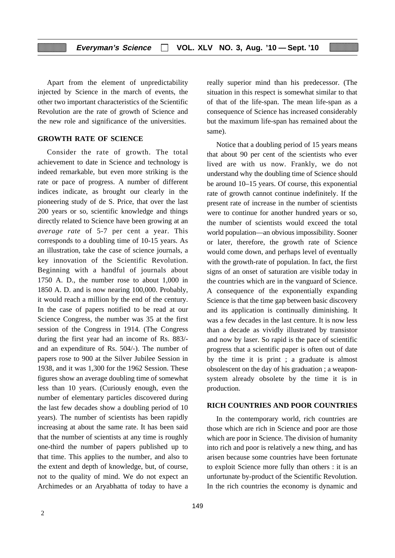Apart from the element of unpredictability injected by Science in the march of events, the other two important characteristics of the Scientific Revolution are the rate of growth of Science and the new role and significance of the universities.

### **GROWTH RATE OF SCIENCE**

Consider the rate of growth. The total achievement to date in Science and technology is indeed remarkable, but even more striking is the rate or pace of progress. A number of different indices indicate, as brought our clearly in the pioneering study of de S. Price, that over the last 200 years or so, scientific knowledge and things directly related to Science have been growing at an *average rate* of 5-7 per cent a year. This corresponds to a doubling time of 10-15 years. As an illustration, take the case of science journals, a key innovation of the Scientific Revolution. Beginning with a handful of journals about 1750 A. D., the number rose to about 1,000 in 1850 A. D. and is now nearing 100,000. Probably, it would reach a million by the end of the century. In the case of papers notified to be read at our Science Congress, the number was 35 at the first session of the Congress in 1914. (The Congress during the first year had an income of Rs. 883/ and an expenditure of Rs. 504/-). The number of papers rose to 900 at the Silver Jubilee Session in 1938, and it was 1,300 for the 1962 Session. These figures show an average doubling time of somewhat less than 10 years. (Curiously enough, even the number of elementary particles discovered during the last few decades show a doubling period of 10 years). The number of scientists has been rapidly increasing at about the same rate. It has been said that the number of scientists at any time is roughly one-third the number of papers published up to that time. This applies to the number, and also to the extent and depth of knowledge, but, of course, not to the quality of mind. We do not expect an Archimedes or an Aryabhatta of today to have a

really superior mind than his predecessor. (The situation in this respect is somewhat similar to that of that of the life-span. The mean life-span as a consequence of Science has increased considerably but the maximum life-span has remained about the same).

Notice that a doubling period of 15 years means that about 90 per cent of the scientists who ever lived are with us now. Frankly, we do not understand why the doubling time of Science should be around 10–15 years. Of course, this exponential rate of growth cannot continue indefinitely. If the present rate of increase in the number of scientists were to continue for another hundred years or so, the number of scientists would exceed the total world population—an obvious impossibility. Sooner or later, therefore, the growth rate of Science would come down, and perhaps level of eventually with the growth-rate of population. In fact, the first signs of an onset of saturation are visible today in the countries which are in the vanguard of Science. A consequence of the exponentially expanding Science is that the time gap between basic discovery and its application is continually diminishing. It was a few decades in the last centure. It is now less than a decade as vividly illustrated by transistor and now by laser. So rapid is the pace of scientific progress that a scientific paper is often out of date by the time it is print ; a graduate is almost obsolescent on the day of his graduation ; a weaponsystem already obsolete by the time it is in production.

# **RICH COUNTRIES AND POOR COUNTRIES**

In the contemporary world, rich countries are those which are rich in Science and poor are those which are poor in Science. The division of humanity into rich and poor is relatively a new thing, and has arisen because some countries have been fortunate to exploit Science more fully than others : it is an unfortunate by-product of the Scientific Revolution. In the rich countries the economy is dynamic and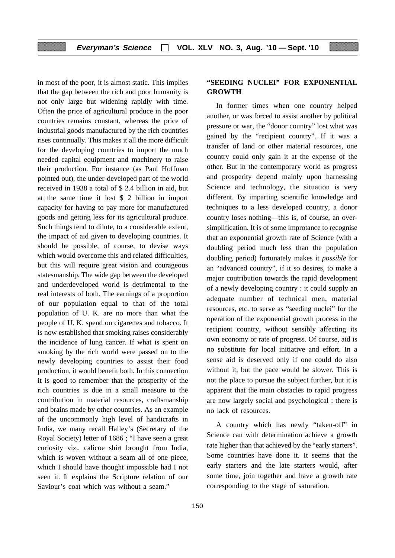in most of the poor, it is almost static. This implies that the gap between the rich and poor humanity is not only large but widening rapidly with time. Often the price of agricultural produce in the poor countries remains constant, whereas the price of industrial goods manufactured by the rich countries rises continually. This makes it all the more difficult for the developing countries to import the much needed capital equipment and machinery to raise their production. For instance (as Paul Hoffman pointed out), the under-developed part of the world received in 1938 a total of \$ 2.4 billion in aid, but at the same time it lost \$ 2 billion in import capacity for having to pay more for manufactured goods and getting less for its agricultural produce. Such things tend to dilute, to a considerable extent, the impact of aid given to developing countries. It should be possible, of course, to devise ways which would overcome this and related difficulties. but this will require great vision and courageous statesmanship. The wide gap between the developed and underdeveloped world is detrimental to the real interests of both. The earnings of a proportion of our population equal to that of the total population of U. K. are no more than what the people of U. K. spend on cigarettes and tobacco. It is now established that smoking raises considerably the incidence of lung cancer. If what is spent on smoking by the rich world were passed on to the newly developing countries to assist their food production, it would benefit both. In this connection it is good to remember that the prosperity of the rich countries is due in a small measure to the contribution in material resources, craftsmanship and brains made by other countries. As an example of the uncommonly high level of handicrafts in India, we many recall Halley's (Secretary of the Royal Society) letter of 1686 ; "I have seen a great curiosity viz., calicoe shirt brought from India, which is woven without a seam all of one piece, which I should have thought impossible had I not seen it. It explains the Scripture relation of our Saviour's coat which was without a seam."

# 150

# **"SEEDING NUCLEI" FOR EXPONENTIAL GROWTH**

In former times when one country helped another, or was forced to assist another by political pressure or war, the "donor country" lost what was gained by the "recipient country". If it was a transfer of land or other material resources, one country could only gain it at the expense of the other. But in the contemporary world as progress and prosperity depend mainly upon harnessing Science and technology, the situation is very different. By imparting scientific knowledge and techniques to a less developed country, a donor country loses nothing—this is, of course, an oversimplification. It is of some improtance to recognise that an exponential growth rate of Science (with a doubling period much less than the population doubling period) fortunately makes it *possible* for an "advanced country", if it so desires, to make a major coutribution towards the rapid development of a newly developing country : it could supply an adequate number of technical men, material resources, etc. to serve as "seeding nuclei" for the operation of the exponential growth process in the recipient country, without sensibly affecting its own economy or rate of progress. Of course, aid is no substitute for local initiative and effort. In a sense aid is deserved only if one could do also without it, but the pace would be slower. This is not the place to pursue the subject further, but it is apparent that the main obstacles to rapid progress are now largely social and psychological : there is no lack of resources.

A country which has newly "taken-off" in Science can with determination achieve a growth rate higher than that achieved by the "early starters". Some countries have done it. It seems that the early starters and the late starters would, after some time, join together and have a growth rate corresponding to the stage of saturation.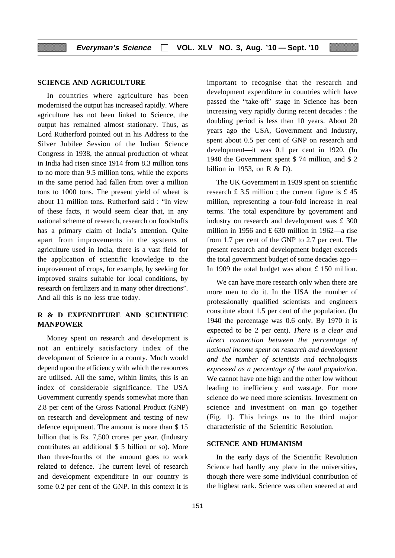#### **SCIENCE AND AGRICULTURE**

In countries where agriculture has been modernised the output has increased rapidly. Where agriculture has not been linked to Science, the output has remained almost stationary. Thus, as Lord Rutherford pointed out in his Address to the Silver Jubilee Session of the Indian Science Congress in 1938, the annual production of wheat in India had risen since 1914 from 8.3 million tons to no more than 9.5 million tons, while the exports in the same period had fallen from over a million tons to 1000 tons. The present yield of wheat is about 11 million tons. Rutherford said : "In view of these facts, it would seem clear that, in any national scheme of research, research on foodstuffs has a primary claim of India's attention. Quite apart from improvements in the systems of agriculture used in India, there is a vast field for the application of scientific knowledge to the improvement of crops, for example, by seeking for improved strains suitable for local conditions, by research on fertilizers and in many other directions". And all this is no less true today.

# **R & D EXPENDITURE AND SCIENTIFIC MANPOWER**

Money spent on research and development is not an entiirely satisfactory index of the development of Science in a county. Much would depend upon the efficiency with which the resources are utilised. All the same, within limits, this is an index of considerable significance. The USA Government currently spends somewhat more than 2.8 per cent of the Gross National Product (GNP) on research and development and testing of new defence equipment. The amount is more than \$ 15 billion that is Rs. 7,500 crores per year. (Industry contributes an additional \$ 5 billion or so). More than three-fourths of the amount goes to work related to defence. The current level of research and development expenditure in our country is some 0.2 per cent of the GNP. In this context it is important to recognise that the research and development expenditure in countries which have passed the "take-off' stage in Science has been increasing very rapidly during recent decades : the doubling period is less than 10 years. About 20 years ago the USA, Government and Industry, spent about 0.5 per cent of GNP on research and development—it was 0.1 per cent in 1920. (In 1940 the Government spent \$ 74 million, and \$ 2 billion in 1953, on R & D).

The UK Government in 1939 spent on scientific research  $\pounds$  3.5 million; the current figure is  $\pounds$  45 million, representing a four-fold increase in real terms. The total expenditure by government and industry on research and development was £ 300 million in 1956 and  $\pounds$  630 million in 1962—a rise from 1.7 per cent of the GNP to 2.7 per cent. The present research and development budget exceeds the total government budget of some decades ago— In 1909 the total budget was about £ 150 million.

We can have more research only when there are more men to do it. In the USA the number of professionally qualified scientists and engineers constitute about 1.5 per cent of the population. (In 1940 the percentage was 0.6 only. By 1970 it is expected to be 2 per cent). *There is a clear and direct connection between the percentage of national income spent on research and development and the number of scientists and technologists expressed as a percentage of the total population*. We cannot have one high and the other low without leading to inefficiency and wastage. For more science do we need more scientists. Investment on science and investment on man go together (Fig. 1). This brings us to the third major characteristic of the Scientific Resolution.

# **SCIENCE AND HUMANISM**

In the early days of the Scientific Revolution Science had hardly any place in the universities, though there were some individual contribution of the highest rank. Science was often sneered at and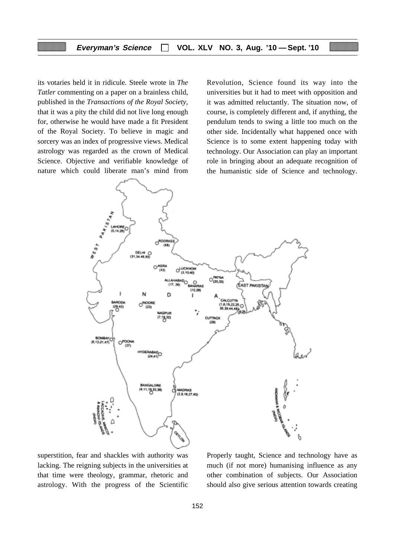its votaries held it in ridicule. Steele wrote in *The Tatler* commenting on a paper on a brainless child, published in the *Transactions of the Royal Society,* that it was a pity the child did not live long enough for, otherwise he would have made a fit President of the Royal Society. To believe in magic and sorcery was an index of progressive views. Medical astrology was regarded as the crown of Medical Science. Objective and verifiable knowledge of nature which could liberate man's mind from

Revolution, Science found its way into the universities but it had to meet with opposition and it was admitted reluctantly. The situation now, of course, is completely different and, if anything, the pendulum tends to swing a little too much on the other side. Incidentally what happened once with Science is to some extent happening today with technology. Our Association can play an important role in bringing about an adequate recognition of the humanistic side of Science and technology.



superstition, fear and shackles with authority was lacking. The reigning subjects in the universities at that time were theology, grammar, rhetoric and astrology. With the progress of the Scientific

Properly taught, Science and technology have as much (if not more) humanising influence as any other combination of subjects. Our Association should also give serious attention towards creating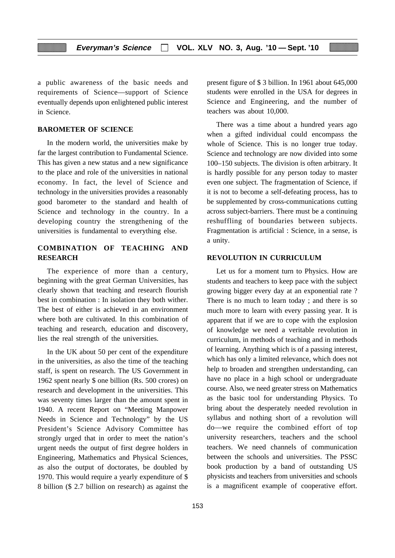a public awareness of the basic needs and requirements of Science—support of Science eventually depends upon enlightened public interest in Science.

### **BAROMETER OF SCIENCE**

In the modern world, the universities make by far the largest contribution to Fundamental Science. This has given a new status and a new significance to the place and role of the universities in national economy. In fact, the level of Science and technology in the universities provides a reasonably good barometer to the standard and health of Science and technology in the country. In a developing country the strengthening of the universities is fundamental to everything else.

# **COMBINATION OF TEACHING AND RESEARCH**

The experience of more than a century, beginning with the great German Universities, has clearly shown that teaching and research flourish best in combination : In isolation they both wither. The best of either is achieved in an environment where both are cultivated. In this combination of teaching and research, education and discovery, lies the real strength of the universities.

In the UK about 50 per cent of the expenditure in the universities, as also the time of the teaching staff, is spent on research. The US Government in 1962 spent nearly \$ one billion (Rs. 500 crores) on research and development in the universities. This was seventy times larger than the amount spent in 1940. A recent Report on "Meeting Manpower Needs in Science and Technology" by the US President's Science Advisory Committee has strongly urged that in order to meet the nation's urgent needs the output of first degree holders in Engineering, Mathematics and Physical Sciences, as also the output of doctorates, be doubled by 1970. This would require a yearly expenditure of \$ 8 billion (\$ 2.7 billion on research) as against the present figure of \$ 3 billion. In 1961 about 645,000 students were enrolled in the USA for degrees in Science and Engineering, and the number of teachers was about 10,000.

There was a time about a hundred years ago when a gifted individual could encompass the whole of Science. This is no longer true today. Science and technology are now divided into some 100–150 subjects. The division is often arbitrary. It is hardly possible for any person today to master even one subject. The fragmentation of Science, if it is not to become a self-defeating process, has to be supplemented by cross-communications cutting across subject-barriers. There must be a continuing reshuffling of boundaries between subjects. Fragmentation is artificial : Science, in a sense, is a unity.

# **REVOLUTION IN CURRICULUM**

Let us for a moment turn to Physics. How are students and teachers to keep pace with the subject growing bigger every day at an exponential rate ? There is no much to learn today ; and there is so much more to learn with every passing year. It is apparent that if we are to cope with the explosion of knowledge we need a veritable revolution in curriculum, in methods of teaching and in methods of learning. Anything which is of a passing interest, which has only a limited relevance, which does not help to broaden and strengthen understanding, can have no place in a high school or undergraduate course. Also, we need greater stress on Mathematics as the basic tool for understanding Physics. To bring about the desperately needed revolution in syllabus and nothing short of a revolution will do—we require the combined effort of top university researchers, teachers and the school teachers. We need channels of communication between the schools and universities. The PSSC book production by a band of outstanding US physicists and teachers from universities and schools is a magnificent example of cooperative effort.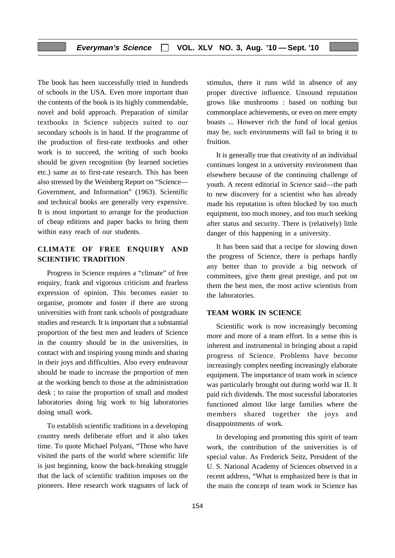The book has been successfully tried in hundreds of schools in the USA. Even more important than the contents of the book is its highly commendable, novel and bold approach. Preparation of similar textbooks in Science subjects suited to our secondary schools is in hand. If the programme of the production of first-rate textbooks and other work is to succeed, the writing of such books should be given recognition (by learned societies etc.) same as to first-rate research. This has been also stressed by the Weinberg Report on "Science— Government, and Information" (1963). Scientific and technical books are generally very expensive. It is most important to arrange for the production of cheap editions and paper backs to bring them within easy reach of our students.

# **CLIMATE OF FREE ENQUIRY AND SCIENTIFIC TRADITION**

Progress in Science requires a "climate" of free enquiry, frank and vigorous criticism and fearless expression of opinion. This becomes easier to organise, promote and foster if there are strong universities with front rank schools of postgraduate studies and research. It is important that a substantial proportion of the best men and leaders of Science in the country should be in the universities, in contact with and inspiring young minds and sharing in their joys and difficulties. Also every endeavour should be made to increase the proportion of men at the working bench to those at the administration desk ; to raise the proportion of small and modest laboratories doing big work to big laboratories doing small work.

To establish scientific traditions in a developing country needs deliberate effort and it also takes time. To quote Michael Polyani, "Those who have visited the parts of the world where scientific life is just beginning, know the back-breaking struggle that the lack of scientific tradition imposes on the pioneers. Here research work stagnates of lack of stimulus, there it runs wild in absence of any proper directive influence. Unsound reputation grows like mushrooms : based on nothing but commonplace achievements, or even on mere empty boasts ... However rich the fund of local genius may be, such environments will fail to bring it to fruition.

It is generally true that creativity of an individual continues longest in a university environment than elsewhere because of the continuing challenge of youth. A recent editorial in *Science* said—the path to new discovery for a scientist who has already made his reputation is often blocked by too much equipment, too much money, and too much seeking after status and security. There is (relatively) little danger of this happening in a university.

It has been said that a recipe for slowing down the progress of Science, there is perhaps hardly any better than to provide a big network of committees, give them great prestige, and put on them the best men, the most active scientists from the laboratories.

# **TEAM WORK IN SCIENCE**

Scientific work is now increasingly becoming more and more of a team effort. In a sense this is inherent and instrumental in bringing about a rapid progress of Science. Problems have become increasingly complex needing increasingly elaborate equipment. The importance of team work in science was particularly brought out during world war II. It paid rich dividends. The most sucessful laboratories functioned almost like large families where the members shared together the joys and disappointments of work.

In developing and promoting this spirit of team work, the contribution of the universities is of special value. As Frederick Seitz, President of the U. S. National Academy of Sciences observed in a recent address, "What is emphasized here is that in the main the concept of team work in Science has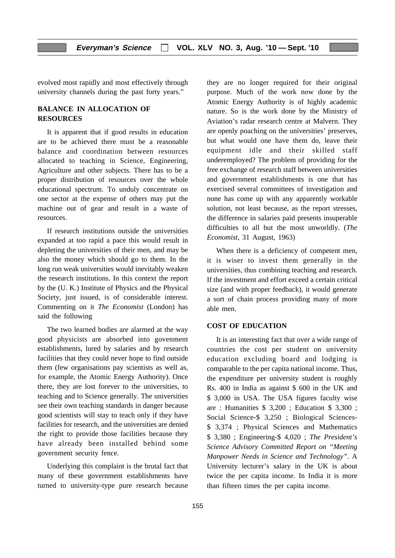evolved most rapidly and most effectively through university channels during the past forty years."

# **BALANCE IN ALLOCATION OF RESOURCES**

It is apparent that if good results in education are to be achieved there must be a reasonable balance and coordination between resources allocated to teaching in Science, Engineering, Agriculture and other subjects. There has to be a proper distribution of resources over the whole educational spectrum. To unduly concentrate on one sector at the expense of others may put the machine out of gear and result in a waste of resources.

If research institutions outside the universities expanded at too rapid a pace this would result in depleting the universities of their men, and may be also the money which should go to them. In the long run weak universities would inevitably weaken the research institutions. In this context the report by the (U. K.) Institute of Physics and the Physical Society, just issued, is of considerable interest. Commenting on it *The Economist* (London) has said the following

The two learned bodies are alarmed at the way good physicists are absorbed into govenment establishments, lured by salaries and by research facilities that they could never hope to find outside them (few organisations pay scientists as well as, for example, the Atomic Energy Authority). Once there, they are lost forever to the universities, to teaching and to Science generally. The universities see their own teaching standards in danger because good scientists will stay to teach only if they have facilities for research, and the universities are denied the right to provide those facilities because they have already been installed behind some government security fence.

Underlying this complaint is the brutal fact that many of these government establishments have turned to university-type pure research because

they are no longer required for their original purpose. Much of the work now done by the Atomic Energy Authority is of highly academic nature. So is the work done by the Ministry of Aviation's radar research centre at Malvern. They are openly poaching on the universities' preserves, but what would one have them do, leave their equipment idle and their skilled staff underemployed? The problem of providing for the free exchange of research staff between universities and government establishments is one that has exercised several committees of investigation and none has come up with any apparently workable solution, not least because, as the report stresses, the difference in salaries paid presents insuperable difficulties to all but the most unworldly. (*The Economist*, 31 August, 1963)

When there is a deficiency of competent men, it is wiser to invest them generally in the universities, thus combining teaching and research. If the investment and effort exceed a certain critical size (and with proper feedback), it would generate a sort of chain process providing many of more able men.

# **COST OF EDUCATION**

It is an interesting fact that over a wide range of countries the cost per student on university education excluding board and lodging is comparable to the per capita national income. Thus, the expenditure per university student is roughly Rs. 400 in India as against \$ 600 in the UK and \$ 3,000 in USA. The USA figures faculty wise are : Humanities \$ 3,200 ; Education \$ 3,300 ; Social Science-\$ 3,250 ; Biological Sciences- \$ 3,374 ; Physical Sciences and Mathematics \$ 3,380 ; Engineering-\$ 4,020 ; *The President's Science Advisory Committed Report on "Meeting Manpower Needs in Science and Technology".* A University lecturer's salary in the UK is about twice the per capita income. In India it is more than fifteen times the per capita income.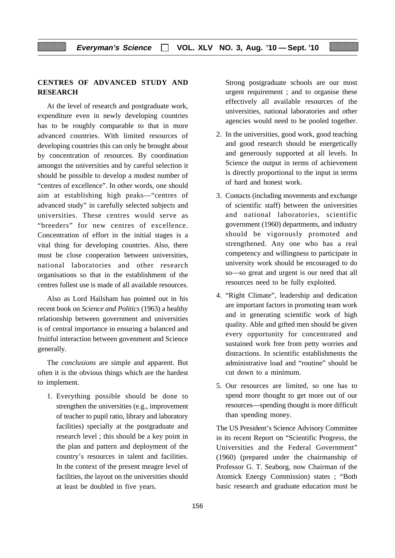# **CENTRES OF ADVANCED STUDY AND RESEARCH**

At the level of research and postgraduate work, expenditure even in newly developing countries has to be roughly comparable to that in more advanced countries. With limited resources of developing countries this can only be brought about by concentration of resources. By coordination amongst the universities and by careful selection it should be possible to develop a modest number of "centres of excellence". In other words, one should aim at establishing high peaks—"centres of advanced study" in carefully selected subjects and universities. These centres would serve as "breeders" for new centres of excellence. Concentration of effort in the initial stages is a vital thing for developing countries. Also, there must be close cooperation between universities, national laboratories and other research organisations so that in the establishment of the centres fullest use is made of all available resources.

Also as Lord Hailsham has pointed out in his recent book on *Science and Politics* (1963) a healthy relationship between government and universities is of central importance in ensuring a balanced and fruitful interaction between govenment and Science generally.

The *conclusions* are simple and apparent. But often it is the obvious things which are the hardest to implement.

1. Everything possible should be done to strengthen the universities (e.g., improvement of teacher to pupil ratio, library and laboratory facilities) specially at the postgraduate and research level ; this should be a key point in the plan and pattern and deployment of the country's resources in talent and facilities. In the context of the present meagre level of facilities, the layout on the universities should at least be doubled in five years.

Strong postgraduate schools are our most urgent requirement ; and to organise these effectively all available resources of the universities, national laboratories and other agencies would need to be pooled together.

- 2. In the universities, good work, good teaching and good research should be energetically and generously supported at all levels. In Science the output in terms of achievement is directly proportional to the input in terms of hard and honest work.
- 3. Contacts (including movements and exchange of scientific staff) between the universities and national laboratories, scientific government (1960) departments, and industry should be vigorously promoted and strengthened. Any one who has a real competency and willingness to participate in university work should be encouraged to do so—so great and urgent is our need that all resources need to be fully exploited.
- 4. "Right Climate", leadership and dedication are important factors in promoting team work and in generating scientific work of high quality. Able and gifted men should be given every opportunity for concentrated and sustained work free from petty worries and distractions. In scientific establishments the administrative load and "routine" should be cut down to a minimum.
- 5. Our resources are limited, so one has to spend more thought to get more out of our resources—spending thought is more difficult than spending money.

The US President's Science Advisory Committee in its recent Report on "Scientific Progress, the Universities and the Federal Government" (1960) (prepared under the chairmanship of Professor G. T. Seaborg, now Chairman of the Atomick Energy Commission) states ; "Both basic research and graduate education must be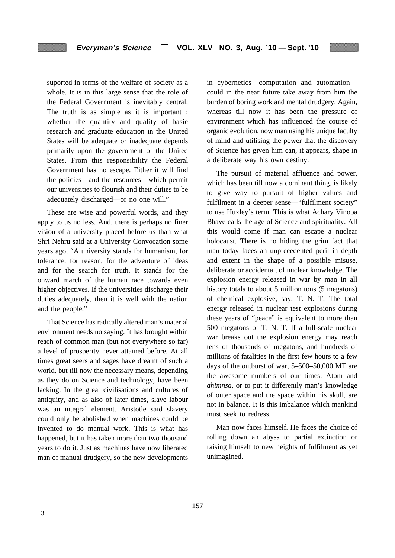suported in terms of the welfare of society as a whole. It is in this large sense that the role of the Federal Government is inevitably central. The truth is as simple as it is important : whether the quantity and quality of basic research and graduate education in the United States will be adequate or inadequate depends primarily upon the government of the United States. From this responsibility the Federal Government has no escape. Either it will find the policies—and the resources—which permit our universities to flourish and their duties to be adequately discharged—or no one will."

These are wise and powerful words, and they apply to us no less. And, there is perhaps no finer vision of a university placed before us than what Shri Nehru said at a University Convocation some years ago, "A university stands for humanism, for tolerance, for reason, for the adventure of ideas and for the search for truth. It stands for the onward march of the human race towards even higher objectives. If the universities discharge their duties adequately, then it is well with the nation and the people."

That Science has radically altered man's material environment needs no saying. It has brought within reach of common man (but not everywhere so far) a level of prosperity never attained before. At all times great seers and sages have dreamt of such a world, but till now the necessary means, depending as they do on Science and technology, have been lacking. In the great civilisations and cultures of antiquity, and as also of later times, slave labour was an integral element. Aristotle said slavery could only be abolished when machines could be invented to do manual work. This is what has happened, but it has taken more than two thousand years to do it. Just as machines have now liberated man of manual drudgery, so the new developments

in cybernetics—computation and automation could in the near future take away from him the burden of boring work and mental drudgery. Again, whereas till now it has been the pressure of environment which has influenced the course of organic evolution, now man using his unique faculty of mind and utilising the power that the discovery of Science has given him can, it appears, shape in a deliberate way his own destiny.

The pursuit of material affluence and power, which has been till now a dominant thing, is likely to give way to pursuit of higher values and fulfilment in a deeper sense—"fulfilment society" to use Huxley's term. This is what Achary Vinoba Bhave calls the age of Science and spirituality. All this would come if man can escape a nuclear holocaust. There is no hiding the grim fact that man today faces an unprecedented peril in depth and extent in the shape of a possible misuse, deliberate or accidental, of nuclear knowledge. The explosion energy released in war by man in all history totals to about 5 million tons (5 megatons) of chemical explosive, say, T. N. T. The total energy released in nuclear test explosions during these years of "peace" is equivalent to more than 500 megatons of T. N. T. If a full-scale nuclear war breaks out the explosion energy may reach tens of thousands of megatons, and hundreds of millions of fatalities in the first few hours to a few days of the outburst of war, 5–500–50,000 MT are the awesome numbers of our times. Atom and *ahimnsa*, or to put it differently man's knowledge of outer space and the space within his skull, are not in balance. It is this imbalance which mankind must seek to redress.

Man now faces himself. He faces the choice of rolling down an abyss to partial extinction or raising himself to new heights of fulfilment as yet unimagined.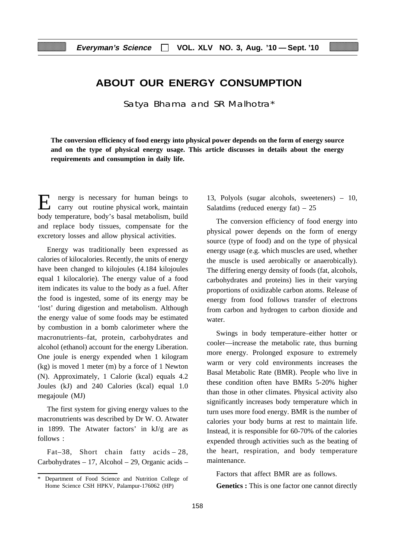# **ABOUT OUR ENERGY CONSUMPTION**

Satya Bhama and SR Malhotra\*

**The conversion efficiency of food energy into physical power depends on the form of energy source and on the type of physical energy usage. This article discusses in details about the energy requirements and consumption in daily life.**

E nergy is necessary for human beings to carry out routine physical work, maintain body temperature, body's basal metabolism, build and replace body tissues, compensate for the excretory losses and allow physical activities.

Energy was traditionally been expressed as calories of kilocalories. Recently, the units of energy have been changed to kilojoules (4.184 kilojoules equal 1 kilocalorie). The energy value of a food item indicates its value to the body as a fuel. After the food is ingested, some of its energy may be 'lost' during digestion and metabolism. Although the energy value of some foods may be estimated by combustion in a bomb calorimeter where the macronutrients–fat, protein, carbohydrates and alcohol (ethanol) account for the energy Liberation. One joule is energy expended when 1 kilogram (kg) is moved 1 meter (m) by a force of 1 Newton (N). Approximately, 1 Calorie (kcal) equals 4.2 Joules (kJ) and 240 Calories (kcal) equal 1.0 megajoule (MJ)

The first system for giving energy values to the macronutrients was described by Dr W. O. Atwater in 1899. The Atwater factors' in kJ/g are as follows :

Fat–38, Short chain fatty acids – 28, Carbohydrates – 17, Alcohol – 29, Organic acids – 13, Polyols (sugar alcohols, sweeteners) – 10, Salatdims (reduced energy fat)  $-25$ 

The conversion efficiency of food energy into physical power depends on the form of energy source (type of food) and on the type of physical energy usage (e.g. which muscles are used, whether the muscle is used aerobically or anaerobically). The differing energy density of foods (fat, alcohols, carbohydrates and proteins) lies in their varying proportions of oxidizable carbon atoms. Release of energy from food follows transfer of electrons from carbon and hydrogen to carbon dioxide and water.

Swings in body temperature–either hotter or cooler—increase the metabolic rate, thus burning more energy. Prolonged exposure to extremely warm or very cold environments increases the Basal Metabolic Rate (BMR). People who live in these condition often have BMRs 5-20% higher than those in other climates. Physical activity also significantly increases body temperature which in turn uses more food energy. BMR is the number of calories your body burns at rest to maintain life. Instead, it is responsible for 60-70% of the calories expended through activities such as the beating of the heart, respiration, and body temperature maintenance.

Factors that affect BMR are as follows.

**Genetics :** This is one factor one cannot directly

Department of Food Science and Nutrition College of Home Science CSH HPKV, Palampur-176062 (HP)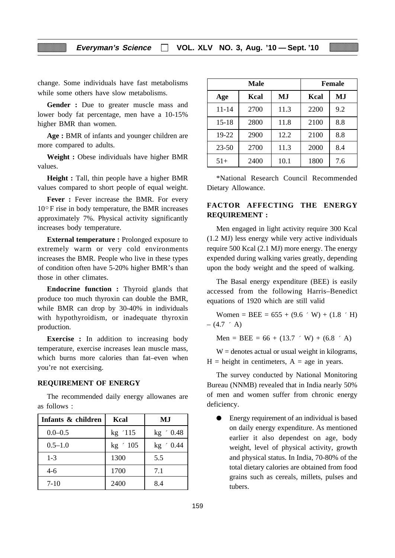change. Some individuals have fast metabolisms while some others have slow metabolisms.

**Gender :** Due to greater muscle mass and lower body fat percentage, men have a 10-15% higher BMR than women.

**Age :** BMR of infants and younger children are more compared to adults.

**Weight :** Obese individuals have higher BMR values.

**Height :** Tall, thin people have a higher BMR values compared to short people of equal weight.

**Fever :** Fever increase the BMR. For every 10° F rise in body temperature, the BMR increases approximately 7%. Physical activity significantly increases body temperature.

**External temperature :** Prolonged exposure to extremely warm or very cold environments increases the BMR. People who live in these types of condition often have 5-20% higher BMR's than those in other climates.

**Endocrine function :** Thyroid glands that produce too much thyroxin can double the BMR, while BMR can drop by 30-40% in individuals with hypothyroidism, or inadequate thyroxin production.

**Exercise :** In addition to increasing body temperature, exercise increases lean muscle mass, which burns more calories than fat–even when you're not exercising.

#### **REQUIREMENT OF ENERGY**

The recommended daily energy allowanes are as follows :

| Infants & children | Kcal       | MJ          |
|--------------------|------------|-------------|
| $0.0 - 0.5$        | kg '115    | $kg \t0.48$ |
| $0.5 - 1.0$        | $kg \t105$ | $kg \t0.44$ |
| $1 - 3$            | 1300       | 5.5         |
| $4-6$              | 1700       | 7.1         |
| $7-10$             | 2400       | 8.4         |

| Male      |      |      |      | <b>Female</b> |
|-----------|------|------|------|---------------|
| Age       | Kcal | MJ   | Kcal | MJ            |
| $11 - 14$ | 2700 | 11.3 | 2200 | 9.2           |
| $15 - 18$ | 2800 | 11.8 | 2100 | 8.8           |
| $19-22$   | 2900 | 12.2 | 2100 | 8.8           |
| $23 - 50$ | 2700 | 11.3 | 2000 | 8.4           |
| $51+$     | 2400 | 10.1 | 1800 | 7.6           |

\*National Research Council Recommended Dietary Allowance.

# **FACTOR AFFECTING THE ENERGY REQUIREMENT :**

Men engaged in light activity require 300 Kcal (1.2 MJ) less energy while very active individuals require 500 Kcal (2.1 MJ) more energy. The energy expended during walking varies greatly, depending upon the body weight and the speed of walking.

The Basal energy expenditure (BEE) is easily accessed from the following Harris–Benedict equations of 1920 which are still valid

Women = BEE =  $655 + (9.6 \cdot W) + (1.8 \cdot H)$  $-$  (4.7  $\hat{ }$  A)

Men = BEE =  $66 + (13.7 \cdot W) + (6.8 \cdot A)$ 

 $W =$  denotes actual or usual weight in kilograms,  $H =$  height in centimeters,  $A =$  age in years.

The survey conducted by National Monitoring Bureau (NNMB) revealed that in India nearly 50% of men and women suffer from chronic energy deficiency.

Energy requirement of an individual is based on daily energy expenditure. As mentioned earlier it also dependest on age, body weight, level of physical activity, growth and physical status. In India, 70-80% of the total dietary calories are obtained from food grains such as cereals, millets, pulses and tubers.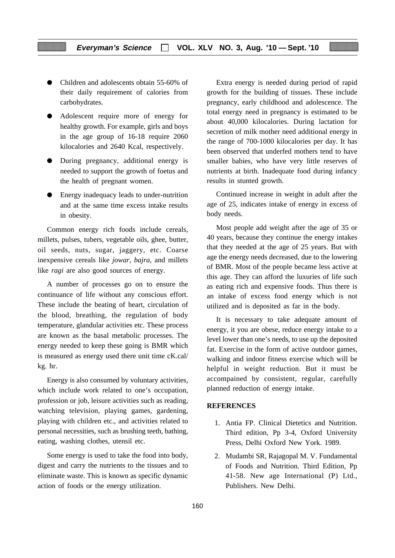- Children and adolescents obtain 55-60% of their daily requirement of calories from carbohydrates.
- Adolescent require more of energy for healthy growth. For example, girls and boys in the age group of 16-18 require 2060 kilocalories and 2640 Kcal, respectively.
- During pregnancy, additional energy is needed to support the growth of foetus and the health of pregnant women.
- Energy inadequacy leads to under-nutrition and at the same time excess intake results in obesity.

Common energy rich foods include cereals, millets, pulses, tubers, vegetable oils, ghee, butter, oil seeds, nuts, sugar, jaggery, etc. Coarse inexpensive cereals like *jowar, bajra,* and millets like *ragi* are also good sources of energy.

A number of processes go on to ensure the continuance of life without any conscious effort. These include the beating of heart, circulation of the blood, breathing, the regulation of body temperature, glandular activities etc. These process are known as the basal metabolic processes. The energy needed to keep these going is BMR which is measured as energy used there unit time cK.cal/ kg. hr.

Energy is also consumed by voluntary activities, which include work related to one's occupation, profession or job, leisure activities such as reading, watching television, playing games, gardening, playing with children etc., and activities related to personal necessities, such as brushing teeth, bathing, eating, washing clothes, utensil etc.

Some energy is used to take the food into body, digest and carry the nutrients to the tissues and to eliminate waste. This is known as specific dynamic action of foods or the energy utilization.

Extra energy is needed during period of rapid growth for the building of tissues. These include pregnancy, early childhood and adolescence. The total energy need in pregnancy is estimated to be about 40,000 kilocalories. During lactation for secretion of milk mother need additional energy in the range of 700-1000 kilocalories per day. It has been observed that underfed mothers tend to have smaller babies, who have very little reserves of nutrients at birth. Inadequate food during infancy results in stunted growth.

Continued increase in weight in adult after the age of 25, indicates intake of energy in excess of body needs.

Most people add weight after the age of 35 or 40 years, because they continue the energy intakes that they needed at the age of 25 years. But with age the energy needs decreased, due to the lowering of BMR. Most of the people became less active at this age. They can afford the luxuries of life such as eating rich and expensive foods. Thus there is an intake of excess food energy which is not utilized and is deposited as far in the body.

It is necessary to take adequate amount of energy, it you are obese, reduce energy intake to a level lower than one's needs, to use up the deposited fat. Exercise in the form of active outdoor games, walking and indoor fitness exercise which will be helpful in weight reduction. But it must be accompained by consistent, regular, carefully planned reduction of energy intake.

# **REFERENCES**

- 1. Antia FP. Clinical Dietetics and Nutrition. Third edition, Pp 3-4, Oxford University Press, Delhi Oxford New York. 1989.
- 2. Mudambi SR, Rajagopal M. V. Fundamental of Foods and Nutrition. Third Edition, Pp 41-58. New age International (P) Ltd., Publishers. New Delhi.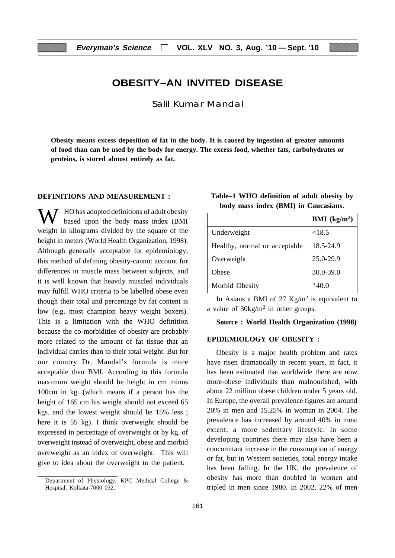# **OBESITY–AN INVITED DISEASE**

Salil Kumar Mandal

**Obesity means excess deposition of fat in the body. It is caused by ingestion of greater amounts of food than can be used by the body for energy. The excess food, whether fats, carbohydrates or proteins, is stored almost entirely as fat.**

### **DEFINITIONS AND MEASUREMENT :**

W HO has adopted definitions of adult obesity based upon the body mass index (BMI weight in kilograms divided by the square of the height in meters (World Health Organization, 1998). Although generally acceptable for epidemiology, this method of defining obesity-cannot account for differences in muscle mass between subjects, and it is well known that heavily muscled individuals may fulfill WHO criteria to be labelled obese even though their total and percentage by fat content is low (e.g. most champion heavy weight boxers). This is a limitation with the WHO definition because the co-morbidities of obesity are probably more related to the amount of fat tissue that an individual carries than to their total weight. But for our country Dr. Mandal's formula is more acceptable than BMI. According to this formula maximum weight should be height in cm minus 100cm in kg. (which means if a person has the height of 165 cm his weight should not exceed 65 kgs. and the lowest weight should be 15% less ; here it is 55 kg). I think overweight should be expressed in percentage of overweight or by kg. of overweight instead of overweight, obese and morbid overweight as an index of overweight. This will give to idea about the overweight to the patient.

| Table–1 WHO definition of adult obesity by |  |  |                                      |  |
|--------------------------------------------|--|--|--------------------------------------|--|
|                                            |  |  | body mass index (BMI) in Caucasians. |  |

|                               | <b>BMI</b> ( $kg/m2$ ) |
|-------------------------------|------------------------|
| Underweight                   | <18.5                  |
| Healthy, normal or acceptable | 18.5-24.9              |
| Overweight                    | 25.0-29.9              |
| Obese                         | $30.0 - 39.0$          |
| Morbid Obesity                | 340.0                  |

In Asians a BMI of 27  $Kg/m^2$  is equivalent to a value of 30kg/m2 in other groups.

# **Source : World Health Organization (1998)**

#### **EPIDEMIOLOGY OF OBESITY :**

Obesity is a major health problem and rates have risen dramatically in recent years, in fact, it has been estimated that worldwide there are now more-obese individuals than malnourished, with about 22 million obese children under 5 years old. In Europe, the overall prevalence figures are around 20% in men and 15.25% in woman in 2004. The prevalence has increased by around 40% in most extent, a more sedentary lifestyle. In some developing countries there may also have been a concomitant increase in the consumption of energy or fat, but in Western societies, total energy intake has been falling. In the UK, the prevalence of obesity has more than doubled in women and tripled in men since 1980. In 2002, 22% of men

Department of Physiology, KPC Medical College & Hospital, Kolkata-7000 032.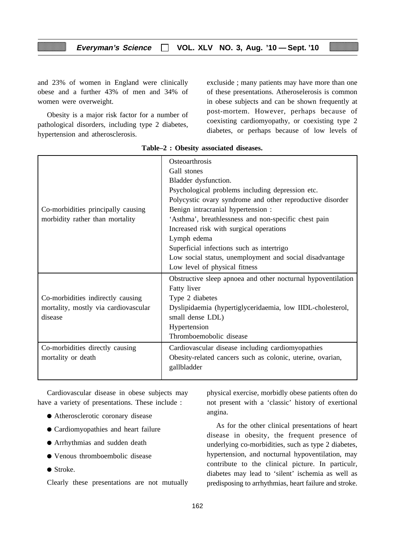and 23% of women in England were clinically obese and a further 43% of men and 34% of women were overweight.

Obesity is a major risk factor for a number of pathological disorders, including type 2 diabetes, hypertension and atherosclerosis.

excluside ; many patients may have more than one of these presentations. Atheroselerosis is common in obese subjects and can be shown frequently at post-mortem. However, perhaps because of coexisting cardiomyopathy, or coexisting type 2 diabetes, or perhaps because of low levels of

|                                      | Osteoarthrosis                                               |
|--------------------------------------|--------------------------------------------------------------|
|                                      | Gall stones                                                  |
|                                      | Bladder dysfunction.                                         |
|                                      | Psychological problems including depression etc.             |
|                                      | Polycystic ovary syndrome and other reproductive disorder    |
| Co-morbidities principally causing   | Benign intracranial hypertension :                           |
| morbidity rather than mortality      | 'Asthma', breathlessness and non-specific chest pain         |
|                                      | Increased risk with surgical operations                      |
|                                      | Lymph edema                                                  |
|                                      | Superficial infections such as intertrigo                    |
|                                      | Low social status, unemployment and social disadvantage      |
|                                      | Low level of physical fitness                                |
|                                      | Obstructive sleep apnoea and other nocturnal hypoventilation |
|                                      | Fatty liver                                                  |
| Co-morbidities indirectly causing    | Type 2 diabetes                                              |
| mortality, mostly via cardiovascular | Dyslipidaemia (hypertiglyceridaemia, low IIDL-cholesterol,   |
| disease                              | small dense LDL)                                             |
|                                      | Hypertension                                                 |
|                                      | Thromboemobolic disease                                      |
| Co-morbidities directly causing      | Cardiovascular disease including cardiomyopathies            |
| mortality or death                   | Obesity-related cancers such as colonic, uterine, ovarian,   |
|                                      | gallbladder                                                  |
|                                      |                                                              |

**Table–2 : Obesity associated diseases.**

Cardiovascular disease in obese subjects may have a variety of presentations. These include :

- Atherosclerotic coronary disease
- Cardiomyopathies and heart failure
- Arrhythmias and sudden death
- Venous thromboembolic disease
- Stroke.

Clearly these presentations are not mutually

physical exercise, morbidly obese patients often do not present with a 'classic' history of exertional angina.

As for the other clinical presentations of heart disease in obesity, the frequent presence of underlying co-morbidities, such as type 2 diabetes, hypertension, and nocturnal hypoventilation, may contribute to the clinical picture. In particulr, diabetes may lead to 'silent' ischemia as well as predisposing to arrhythmias, heart failure and stroke.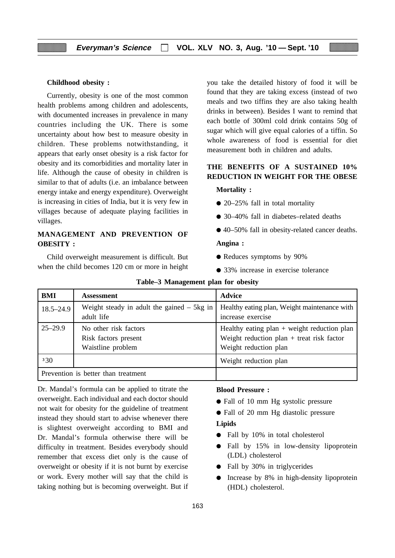#### **Childhood obesity :**

Currently, obesity is one of the most common health problems among children and adolescents, with documented increases in prevalence in many countries including the UK. There is some uncertainty about how best to measure obesity in children. These problems notwithstanding, it appears that early onset obesity is a risk factor for obesity and its comorbidities and mortality later in life. Although the cause of obesity in children is similar to that of adults (i.e. an imbalance between energy intake and energy expenditure). Overweight is increasing in cities of India, but it is very few in villages because of adequate playing facilities in villages.

# **MANAGEMENT AND PREVENTION OF OBESITY :**

Child overweight measurement is difficult. But when the child becomes 120 cm or more in height you take the detailed history of food it will be found that they are taking excess (instead of two meals and two tiffins they are also taking health drinks in between). Besides I want to remind that each bottle of 300ml cold drink contains 50g of sugar which will give equal calories of a tiffin. So whole awareness of food is essential for diet measurement both in children and adults.

# **THE BENEFITS OF A SUSTAINED 10% REDUCTION IN WEIGHT FOR THE OBESE**

#### **Mortality :**

- 20–25% fall in total mortality
- 30–40% fall in diabetes–related deaths
- 40–50% fall in obesity-related cancer deaths.

#### **Angina :**

- Reduces symptoms by 90%
- 33% increase in exercise tolerance

| BMI           | <b>Assessment</b>                            | <b>Advice</b>                                 |
|---------------|----------------------------------------------|-----------------------------------------------|
| $18.5 - 24.9$ | Weight steady in adult the gained $-$ 5kg in | Healthy eating plan, Weight maintenance with  |
|               | adult life                                   | increase exercise                             |
| $25 - 29.9$   | No other risk factors                        | Healthy eating $plan + weight$ reduction plan |
|               | Risk factors present                         | Weight reduction $plan + treat risk factor$   |
|               | Waistline problem                            | Weight reduction plan                         |
| 330           |                                              | Weight reduction plan                         |
|               | Prevention is better than treatment          |                                               |

| Table-3 Management plan for obesity |  |  |  |
|-------------------------------------|--|--|--|
|-------------------------------------|--|--|--|

Dr. Mandal's formula can be applied to titrate the overweight. Each individual and each doctor should not wait for obesity for the guideline of treatment instead they should start to advise whenever there is slightest overweight according to BMI and Dr. Mandal's formula otherwise there will be difficulty in treatment. Besides everybody should remember that excess diet only is the cause of overweight or obesity if it is not burnt by exercise or work. Every mother will say that the child is taking nothing but is becoming overweight. But if

#### **Blood Pressure :**

- Fall of 10 mm Hg systolic pressure
- Fall of 20 mm Hg diastolic pressure

# **Lipids**

- Fall by 10% in total cholesterol
- Fall by 15% in low-density lipoprotein (LDL) cholesterol
- Fall by 30% in triglycerides
- Increase by 8% in high-density lipoprotein (HDL) cholesterol.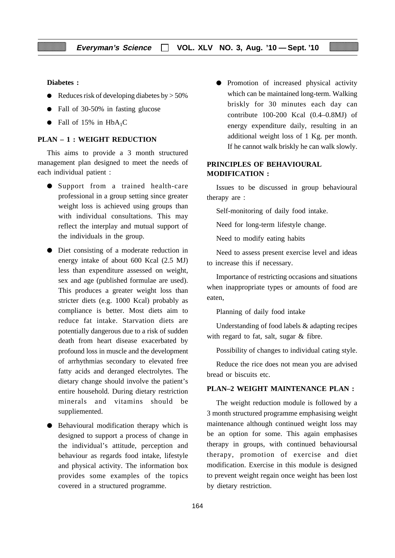**Diabetes :**

- $\bullet$  Reduces risk of developing diabetes by  $> 50\%$
- Fall of 30-50% in fasting glucose
- Fall of 15% in  $HbA_1C$

# **PLAN – 1 : WEIGHT REDUCTION**

This aims to provide a 3 month structured management plan designed to meet the needs of each individual patient :

- Support from a trained health-care professional in a group setting since greater weight loss is achieved using groups than with individual consultations. This may reflect the interplay and mutual support of the individuals in the group.
- Diet consisting of a moderate reduction in energy intake of about 600 Kcal (2.5 MJ) less than expenditure assessed on weight, sex and age (published formulae are used). This produces a greater weight loss than stricter diets (e.g. 1000 Kcal) probably as compliance is better. Most diets aim to reduce fat intake. Starvation diets are potentially dangerous due to a risk of sudden death from heart disease exacerbated by profound loss in muscle and the development of arrhythmias secondary to elevated free fatty acids and deranged electrolytes. The dietary change should involve the patient's entire household. During dietary restriction minerals and vitamins should be suppliemented.
- Behavioural modification therapy which is designed to support a process of change in the individual's attitude, perception and behaviour as regards food intake, lifestyle and physical activity. The information box provides some examples of the topics covered in a structured programme.

● Promotion of increased physical activity which can be maintained long-term. Walking briskly for 30 minutes each day can contribute 100-200 Kcal (0.4–0.8MJ) of energy expenditure daily, resulting in an additional weight loss of 1 Kg. per month. If he cannot walk briskly he can walk slowly.

# **PRINCIPLES OF BEHAVIOURAL MODIFICATION :**

Issues to be discussed in group behavioural therapy are :

Self-monitoring of daily food intake.

Need for long-term lifestyle change.

Need to modify eating habits

Need to assess present exercise level and ideas to increase this if necessary.

Importance of restricting occasions and situations when inappropriate types or amounts of food are eaten,

Planning of daily food intake

Understanding of food labels & adapting recipes with regard to fat, salt, sugar & fibre.

Possibility of changes to individual cating style.

Reduce the rice does not mean you are advised bread or biscuits etc.

#### **PLAN–2 WEIGHT MAINTENANCE PLAN :**

The weight reduction module is followed by a 3 month structured programme emphasising weight maintenance although continued weight loss may be an option for some. This again emphasises therapy in groups, with continued behavioursal therapy, promotion of exercise and diet modification. Exercise in this module is designed to prevent weight regain once weight has been lost by dietary restriction.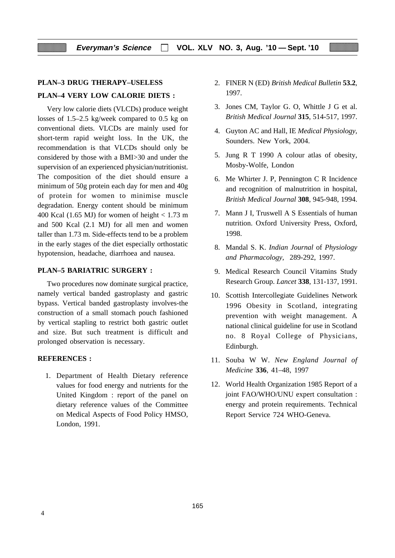# **PLAN–3 DRUG THERAPY–USELESS**

### **PLAN–4 VERY LOW CALORIE DIETS :**

Very low calorie diets (VLCDs) produce weight losses of 1.5–2.5 kg/week compared to 0.5 kg on conventional diets. VLCDs are mainly used for short-term rapid weight loss. In the UK, the recommendation is that VLCDs should only be considered by those with a BMI>30 and under the supervision of an experienced physician/nutritionist. The composition of the diet should ensure a minimum of 50g protein each day for men and 40g of protein for women to minimise muscle degradation. Energy content should be minimum 400 Kcal (1.65 MJ) for women of height  $< 1.73$  m and 500 Kcal (2.1 MJ) for all men and women taller than 1.73 m. Side-effects tend to be a problem in the early stages of the diet especially orthostatic hypotension, headache, diarrhoea and nausea.

# **PLAN–5 BARIATRIC SURGERY :**

Two procedures now dominate surgical practice, namely vertical banded gastroplasty and gastric bypass. Vertical banded gastroplasty involves-the construction of a small stomach pouch fashioned by vertical stapling to restrict both gastric outlet and size. But such treatment is difficult and prolonged observation is necessary.

#### **REFERENCES :**

1. Department of Health Dietary reference values for food energy and nutrients for the United Kingdom : report of the panel on dietary reference values of the Committee on Medical Aspects of Food Policy HMSO, London, 1991.

- 2. FINER N (ED) *British Medical Bulletin* **53.2**, 1997.
- 3. Jones CM, Taylor G. O, Whittle J G et al. *British Medical Journal* **315**, 514-517, 1997.
- 4. Guyton AC and Hall, IE *Medical Physiology,* Sounders. New York, 2004.
- 5. Jung R T 1990 A colour atlas of obesity, Mosby-Wolfe, London
- 6. Me Whirter J. P, Pennington C R Incidence and recognition of malnutrition in hospital, *British Medical Journal* **308**, 945-948, 1994.
- 7. Mann J I, Truswell A S Essentials of human nutrition. Oxford University Press, Oxford, 1998.
- 8. Mandal S. K. *Indian Journal* of *Physiology and Pharmacology*, 289-292, 1997.
- 9. Medical Research Council Vitamins Study Research Group. *Lancet* **338**, 131-137, 1991.
- 10. Scottish Intercollegiate Guidelines Network 1996 Obesity in Scotland, integrating prevention with weight management. A national clinical guideline for use in Scotland no. 8 Royal College of Physicians, Edinburgh.
- 11. Souba W W. *New England Journal of Medicine* **336**, 41–48, 1997
- 12. World Health Organization 1985 Report of a joint FAO/WHO/UNU expert consultation : energy and protein requirements. Technical Report Service 724 WHO-Geneva.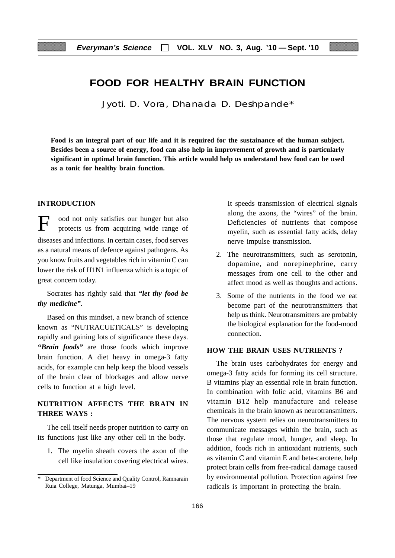# **FOOD FOR HEALTHY BRAIN FUNCTION**

Jyoti. D. Vora, Dhanada D. Deshpande\*

**Food is an integral part of our life and it is required for the sustainance of the human subject. Besides been a source of energy, food can also help in improvement of growth and is particularly significant in optimal brain function. This article would help us understand how food can be used as a tonic for healthy brain function.**

# **INTRODUCTION**

ood not only satisfies our hunger but also protects us from acquiring wide range of diseases and infections. In certain cases, food serves as a natural means of defence against pathogens. As you know fruits and vegetables rich in vitamin C can lower the risk of H1N1 influenza which is a topic of great concern today.

Socrates has rightly said that *"let thy food be thy medicine"*.

Based on this mindset, a new branch of science known as "NUTRACUETICALS" is developing rapidly and gaining lots of significance these days. *"Brain foods"* are those foods which improve brain function. A diet heavy in omega-3 fatty acids, for example can help keep the blood vessels of the brain clear of blockages and allow nerve cells to function at a high level.

# **NUTRITION AFFECTS THE BRAIN IN THREE WAYS :**

The cell itself needs proper nutrition to carry on its functions just like any other cell in the body.

1. The myelin sheath covers the axon of the cell like insulation covering electrical wires.

It speeds transmission of electrical signals along the axons, the "wires" of the brain. Deficiencies of nutrients that compose myelin, such as essential fatty acids, delay nerve impulse transmission.

- 2. The neurotransmitters, such as serotonin, dopamine, and norepinephrine, carry messages from one cell to the other and affect mood as well as thoughts and actions.
- 3. Some of the nutrients in the food we eat become part of the neurotransmitters that help us think. Neurotransmitters are probably the biological explanation for the food-mood connection.

# **HOW THE BRAIN USES NUTRIENTS ?**

The brain uses carbohydrates for energy and omega-3 fatty acids for forming its cell structure. B vitamins play an essential role in brain function. In combination with folic acid, vitamins B6 and vitamin B12 help manufacture and release chemicals in the brain known as neurotransmitters. The nervous system relies on neurotransmitters to communicate messages within the brain, such as those that regulate mood, hunger, and sleep. In addition, foods rich in antioxidant nutrients, such as vitamin C and vitamin E and beta-carotene, help protect brain cells from free-radical damage caused by environmental pollution. Protection against free radicals is important in protecting the brain.

Department of food Science and Quality Control, Ramnarain Ruia College, Matunga, Mumbai–19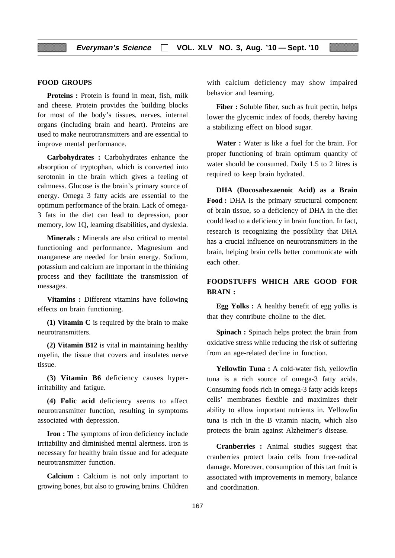### **FOOD GROUPS**

**Proteins :** Protein is found in meat, fish, milk and cheese. Protein provides the building blocks for most of the body's tissues, nerves, internal organs (including brain and heart). Proteins are used to make neurotransmitters and are essential to improve mental performance.

**Carbohydrates :** Carbohydrates enhance the absorption of tryptophan, which is converted into serotonin in the brain which gives a feeling of calmness. Glucose is the brain's primary source of energy. Omega 3 fatty acids are essential to the optimum performance of the brain. Lack of omega-3 fats in the diet can lead to depression, poor memory, low 1Q, learning disabilities, and dyslexia.

**Minerals :** Minerals are also critical to mental functioning and performance. Magnesium and manganese are needed for brain energy. Sodium, potassium and calcium are important in the thinking process and they facilitiate the transmission of messages.

**Vitamins :** Different vitamins have following effects on brain functioning.

**(1) Vitamin C** is required by the brain to make neurotransmitters.

**(2) Vitamin B12** is vital in maintaining healthy myelin, the tissue that covers and insulates nerve tissue.

**(3) Vitamin B6** deficiency causes hyperirritability and fatigue.

**(4) Folic acid** deficiency seems to affect neurotransmitter function, resulting in symptoms associated with depression.

**Iron** : The symptoms of iron deficiency include irritability and diminished mental alertness. Iron is necessary for healthy brain tissue and for adequate neurotransmitter function.

**Calcium :** Calcium is not only important to growing bones, but also to growing brains. Children with calcium deficiency may show impaired behavior and learning.

Fiber : Soluble fiber, such as fruit pectin, helps lower the glycemic index of foods, thereby having a stabilizing effect on blood sugar.

**Water :** Water is like a fuel for the brain. For proper functioning of brain optimum quantity of water should be consumed. Daily 1.5 to 2 litres is required to keep brain hydrated.

**DHA (Docosahexaenoic Acid) as a Brain Food :** DHA is the primary structural component of brain tissue, so a deficiency of DHA in the diet could lead to a deficiency in brain function. In fact, research is recognizing the possibility that DHA has a crucial influence on neurotransmitters in the brain, helping brain cells better communicate with each other.

# **FOODSTUFFS WHICH ARE GOOD FOR BRAIN :**

**Egg Yolks :** A healthy benefit of egg yolks is that they contribute choline to the diet.

**Spinach :** Spinach helps protect the brain from oxidative stress while reducing the risk of suffering from an age-related decline in function.

Yellowfin Tuna : A cold-water fish, yellowfin tuna is a rich source of omega-3 fatty acids. Consuming foods rich in omega-3 fatty acids keeps cells' membranes flexible and maximizes their ability to allow important nutrients in. Yellowfin tuna is rich in the B vitamin niacin, which also protects the brain against Alzheimer's disease.

**Cranberries :** Animal studies suggest that cranberries protect brain cells from free-radical damage. Moreover, consumption of this tart fruit is associated with improvements in memory, balance and coordination.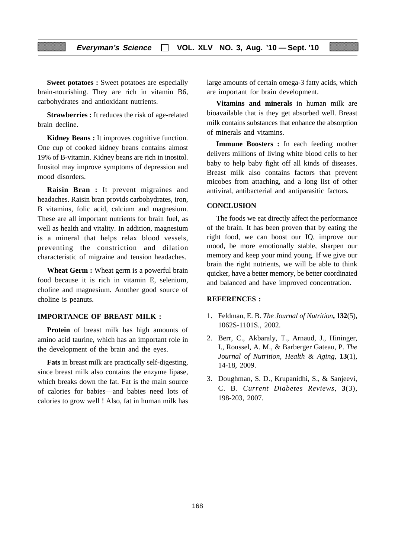**Sweet potatoes :** Sweet potatoes are especially brain-nourishing. They are rich in vitamin B6, carbohydrates and antioxidant nutrients.

**Strawberries :** It reduces the risk of age-related brain decline.

**Kidney Beans :** It improves cognitive function. One cup of cooked kidney beans contains almost 19% of B-vitamin. Kidney beans are rich in inositol. Inositol may improve symptoms of depression and mood disorders.

**Raisin Bran :** It prevent migraines and headaches. Raisin bran provids carbohydrates, iron, B vitamins, folic acid, calcium and magnesium. These are all important nutrients for brain fuel, as well as health and vitality. In addition, magnesium is a mineral that helps relax blood vessels, preventing the constriction and dilation characteristic of migraine and tension headaches.

**Wheat Germ :** Wheat germ is a powerful brain food because it is rich in vitamin E, selenium, choline and magnesium. Another good source of choline is peanuts.

### **IMPORTANCE OF BREAST MILK :**

**Protein** of breast milk has high amounts of amino acid taurine, which has an important role in the development of the brain and the eyes.

**Fats** in breast milk are practically self-digesting, since breast milk also contains the enzyme lipase, which breaks down the fat. Fat is the main source of calories for babies—and babies need lots of calories to grow well ! Also, fat in human milk has large amounts of certain omega-3 fatty acids, which are important for brain development.

**Vitamins and minerals** in human milk are bioavailable that is they get absorbed well. Breast milk contains substances that enhance the absorption of minerals and vitamins.

**Immune Boosters :** In each feeding mother delivers millions of living white blood cells to her baby to help baby fight off all kinds of diseases. Breast milk also contains factors that prevent micobes from attaching, and a long list of other antiviral, antibacterial and antiparasitic factors.

#### **CONCLUSION**

The foods we eat directly affect the performance of the brain. It has been proven that by eating the right food, we can boost our IQ, improve our mood, be more emotionally stable, sharpen our memory and keep your mind young. If we give our brain the right nutrients, we will be able to think quicker, have a better memory, be better coordinated and balanced and have improved concentration.

#### **REFERENCES :**

- 1. Feldman, E. B. *The Journal of Nutrition***, 132**(5), 1062S-1101S., 2002.
- 2. Berr, C., Akbaraly, T., Arnaud, J., Hininger, I., Roussel, A. M., & Barberger Gateau, P. *The Journal of Nutrition, Health & Aging*, **13**(1), 14-18, 2009.
- 3. Doughman, S. D., Krupanidhi, S., & Sanjeevi, C. B. *Current Diabetes Reviews*, **3**(3), 198-203, 2007.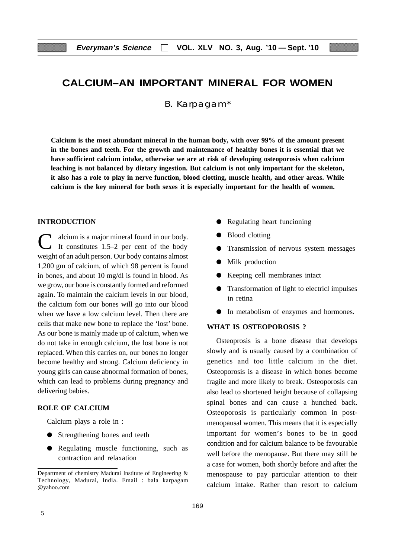# **CALCIUM–AN IMPORTANT MINERAL FOR WOMEN**

B. Karpagam\*

**Calcium is the most abundant mineral in the human body, with over 99% of the amount present in the bones and teeth. For the growth and maintenance of healthy bones it is essential that we have sufficient calcium intake, otherwise we are at risk of developing osteoporosis when calcium leaching is not balanced by dietary ingestion. But calcium is not only important for the skeleton, it also has a role to play in nerve function, blood clotting, muscle health, and other areas. While calcium is the key mineral for both sexes it is especially important for the health of women.**

# **INTRODUCTION**

C alcium is a major mineral found in our body.<br>It constitutes 1.5–2 per cent of the body weight of an adult person. Our body contains almost 1,200 gm of calcium, of which 98 percent is found in bones, and about 10 mg/dl is found in blood. As we grow, our bone is constantly formed and reformed again. To maintain the calcium levels in our blood, the calcium fom our bones will go into our blood when we have a low calcium level. Then there are cells that make new bone to replace the 'lost' bone. As our bone is mainly made up of calcium, when we do not take in enough calcium, the lost bone is not replaced. When this carries on, our bones no longer become healthy and strong. Calcium deficiency in young girls can cause abnormal formation of bones, which can lead to problems during pregnancy and delivering babies.

### **ROLE OF CALCIUM**

Calcium plays a role in :

- Strengthening bones and teeth
- Regulating muscle functioning, such as contraction and relaxation
- Regulating heart funcioning
- Blood clotting
- Transmission of nervous system messages
- Milk production
- Keeping cell membranes intact
- Transformation of light to electricl impulses in retina
- In metabolism of enzymes and hormones.

#### **WHAT IS OSTEOPOROSIS ?**

Osteoprosis is a bone disease that develops slowly and is usually caused by a combination of genetics and too little calcium in the diet. Osteoporosis is a disease in which bones become fragile and more likely to break. Osteoporosis can also lead to shortened height because of collapsing spinal bones and can cause a hunched back. Osteoporosis is particularly common in postmenopausal women. This means that it is especially important for women's bones to be in good condition and for calcium balance to be favourable well before the menopause. But there may still be a case for women, both shortly before and after the menospause to pay particular attention to their calcium intake. Rather than resort to calcium

Department of chemistry Madurai Institute of Engineering & Technology, Madurai, India. Email : bala karpagam @yahoo.com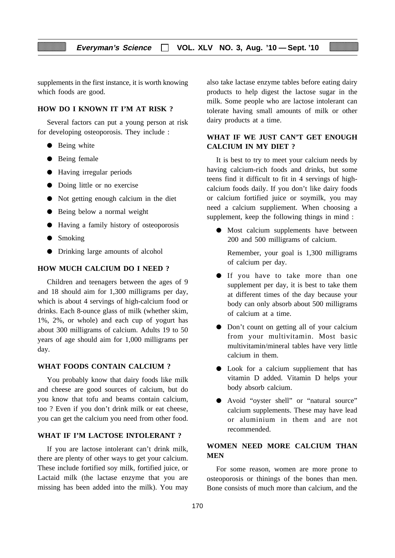supplements in the first instance, it is worth knowing which foods are good.

## **HOW DO I KNOWN IT I'M AT RISK ?**

Several factors can put a young person at risk for developing osteoporosis. They include :

- Being white
- Being female
- Having irregular periods
- Doing little or no exercise
- Not getting enough calcium in the diet
- Being below a normal weight
- Having a family history of osteoporosis
- Smoking
- Drinking large amounts of alcohol

### **HOW MUCH CALCIUM DO I NEED ?**

Children and teenagers between the ages of 9 and 18 should aim for 1,300 milligrams per day, which is about 4 servings of high-calcium food or drinks. Each 8-ounce glass of milk (whether skim, 1%, 2%, or whole) and each cup of yogurt has about 300 milligrams of calcium. Adults 19 to 50 years of age should aim for 1,000 milligrams per day.

#### **WHAT FOODS CONTAIN CALCIUM ?**

You probably know that dairy foods like milk and cheese are good sources of calcium, but do you know that tofu and beams contain calcium, too ? Even if you don't drink milk or eat cheese, you can get the calcium you need from other food.

# **WHAT IF I'M LACTOSE INTOLERANT ?**

If you are lactose intolerant can't drink milk, there are plenty of other ways to get your calcium. These include fortified soy milk, fortified juice, or Lactaid milk (the lactase enzyme that you are missing has been added into the milk). You may

also take lactase enzyme tables before eating dairy products to help digest the lactose sugar in the milk. Some people who are lactose intolerant can tolerate having small amounts of milk or other dairy products at a time.

# **WHAT IF WE JUST CAN'T GET ENOUGH CALCIUM IN MY DIET ?**

It is best to try to meet your calcium needs by having calcium-rich foods and drinks, but some teens find it difficult to fit in 4 servings of highcalcium foods daily. If you don't like dairy foods or calcium fortified juice or soymilk, you may need a calcium suppliement. When choosing a supplement, keep the following things in mind :

● Most calcium supplements have between 200 and 500 milligrams of calcium.

Remember, your goal is 1,300 milligrams of calcium per day.

- If you have to take more than one supplement per day, it is best to take them at different times of the day because your body can only absorb about 500 milligrams of calcium at a time.
- Don't count on getting all of your calcium from your multivitamin. Most basic multivitamin/mineral tables have very little calcium in them.
- Look for a calcium suppliement that has vitamin D added. Vitamin D helps your body absorb calcium.
- Avoid "oyster shell" or "natural source" calcium supplements. These may have lead or aluminium in them and are not recommended.

# **WOMEN NEED MORE CALCIUM THAN MEN**

For some reason, women are more prone to osteoporosis or thinings of the bones than men. Bone consists of much more than calcium, and the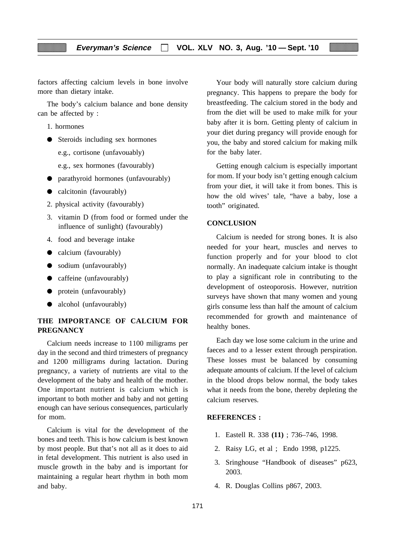factors affecting calcium levels in bone involve more than dietary intake.

The body's calcium balance and bone density can be affected by :

1. hormones

● Steroids including sex hormones

e.g., cortisone (unfavouably)

e.g., sex hormones (favourably)

- parathyroid hormones (unfavourably)
- calcitonin (favourably)
- 2. physical activity (favourably)
- 3. vitamin D (from food or formed under the influence of sunlight) (favourably)
- 4. food and beverage intake
- calcium (favourably)
- sodium (unfavourably)
- caffeine (unfavourably)
- protein (unfavourably)
- alcohol (unfavourably)

# **THE IMPORTANCE OF CALCIUM FOR PREGNANCY**

Calcium needs increase to 1100 miligrams per day in the second and third trimesters of pregnancy and 1200 milligrams during lactation. During pregnancy, a variety of nutrients are vital to the development of the baby and health of the mother. One important nutrient is calcium which is important to both mother and baby and not getting enough can have serious consequences, particularly for mom.

Calcium is vital for the development of the bones and teeth. This is how calcium is best known by most people. But that's not all as it does to aid in fetal development. This nutrient is also used in muscle growth in the baby and is important for maintaining a regular heart rhythm in both mom and baby.

Your body will naturally store calcium during pregnancy. This happens to prepare the body for breastfeeding. The calcium stored in the body and from the diet will be used to make milk for your baby after it is born. Getting plenty of calcium in your diet during pregancy will provide enough for you, the baby and stored calcium for making milk for the baby later.

Getting enough calcium is especially important for mom. If your body isn't getting enough calcium from your diet, it will take it from bones. This is how the old wives' tale, "have a baby, lose a tooth" originated.

#### **CONCLUSION**

Calcium is needed for strong bones. It is also needed for your heart, muscles and nerves to function properly and for your blood to clot normally. An inadequate calcium intake is thought to play a significant role in contributing to the development of osteoporosis. However, nutrition surveys have shown that many women and young girls consume less than half the amount of calcium recommended for growth and maintenance of healthy bones.

Each day we lose some calcium in the urine and faeces and to a lesser extent through perspiration. These losses must be balanced by consuming adequate amounts of calcium. If the level of calcium in the blood drops below normal, the body takes what it needs from the bone, thereby depleting the calcium reserves.

#### **REFERENCES :**

- 1. Eastell R. 338 **(11)** ; 736–746, 1998.
- 2. Raisy LG, et al ; Endo 1998, p1225.
- 3. Sringhouse "Handbook of diseases" p623, 2003.
- 4. R. Douglas Collins p867, 2003.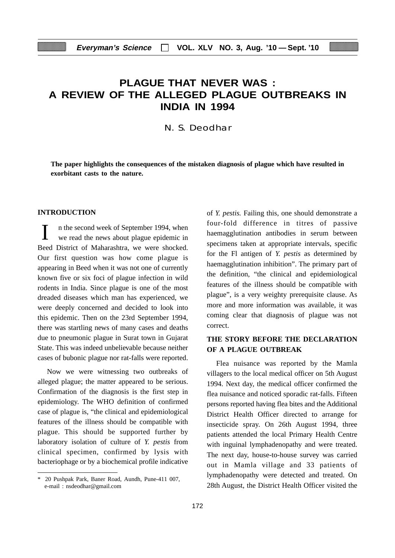# **PLAGUE THAT NEVER WAS : A REVIEW OF THE ALLEGED PLAGUE OUTBREAKS IN INDIA IN 1994**

N. S. Deodhar

**The paper highlights the consequences of the mistaken diagnosis of plague which have resulted in exorbitant casts to the nature.**

# **INTRODUCTION**

n the second week of September 1994, when we read the news about plague epidemic in Beed District of Maharashtra, we were shocked. Our first question was how come plague is appearing in Beed when it was not one of currently known five or six foci of plague infection in wild rodents in India. Since plague is one of the most dreaded diseases which man has experienced, we were deeply concerned and decided to look into this epidemic. Then on the 23rd September 1994, there was startling news of many cases and deaths due to pneumonic plague in Surat town in Gujarat State. This was indeed unbelievable because neither cases of bubonic plague nor rat-falls were reported.

Now we were witnessing two outbreaks of alleged plague; the matter appeared to be serious. Confirmation of the diagnosis is the first step in epidemiology. The WHO definition of confirmed case of plague is, "the clinical and epidemiological features of the illness should be compatible with plague. This should be supported further by laboratory isolation of culture of *Y. pestis* from clinical specimen, confirmed by lysis with bacteriophage or by a biochemical profile indicative

of *Y. pestis.* Failing this, one should demonstrate a four-fold difference in titres of passive haemagglutination antibodies in serum between specimens taken at appropriate intervals, specific for the Fl antigen of *Y. pestis* as determined by haemagglutination inhibition". The primary part of the definition, "the clinical and epidemiological features of the illness should be compatible with plague", is a very weighty prerequisite clause. As more and more information was available, it was coming clear that diagnosis of plague was not correct.

# **THE STORY BEFORE THE DECLARATION OF A PLAGUE OUTBREAK**

Flea nuisance was reported by the Mamla villagers to the local medical officer on 5th August 1994. Next day, the medical officer confirmed the flea nuisance and noticed sporadic rat-falls. Fifteen persons reported having flea bites and the Additional District Health Officer directed to arrange for insecticide spray. On 26th August 1994, three patients attended the local Primary Health Centre with inguinal lymphadenopathy and were treated. The next day, house-to-house survey was carried out in Mamla village and 33 patients of lymphadenopathy were detected and treated. On 28th August, the District Health Officer visited the

<sup>\* 20</sup> Pushpak Park, Baner Road, Aundh, Pune-411 007, e-mail : nsdeodhar@gmail.com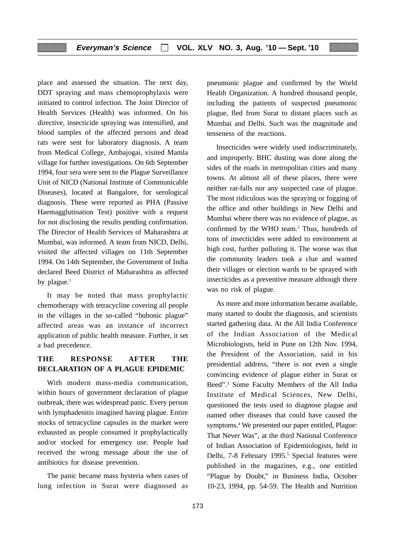place and assessed the situation. The next day, DDT spraying and mass chemoprophylaxis were initiated to control infection. The Joint Director of Health Services (Health) was informed. On his directive, insecticide spraying was intensified, and blood samples of the affected persons and dead rats were sent for laboratory diagnosis. A team from Medical College, Ambajogai, visited Mamla village for further investigations. On 6th September 1994, four sera were sent to the Plague Surveillance Unit of NICD (National Institute of Communicable Diseases), located at Bangalore, for serological diagnosis. These were reported as PHA (Passive Haemagglutination Test) positive with a request for not disclosing the results pending confirmation. The Director of Health Services of Maharashtra at Mumbai, was informed. A team from NICD, Delhi, visited the affected villages on 11th September 1994. On 14th September, the Government of India declared Beed District of Maharashtra as affected by plague.<sup>1</sup>

It may be noted that mass prophylactic chemotherapy with tetracycline covering all people in the villages in the so-called "bubonic plague" affected areas was an instance of incorrect application of public health measure. Further, it set a bad precedence.

# **THE RESPONSE AFTER THE DECLARATION OF A PLAGUE EPIDEMIC**

With modern mass-media communication, within hours of government declaration of plague outbreak, there was widespread panic. Every person with lymphadenitis imagined having plague. Entire stocks of tetracycline capsules in the market were exhausted as people consumed it prophylactically and/or stocked for emergency use. People had received the wrong message about the use of antibiotics for disease prevention.

The panic became mass hysteria when cases of lung infection in Surat were diagnosed as

pneumonic plague and confirmed by the World Health Organization. A hundred thousand people, including the patients of suspected pneumonic plague, fled from Surat to distant places such as Mumbai and Delhi. Such was the magnitude and tenseness of the reactions.

Insecticides were widely used indiscriminately, and improperly. BHC dusting was done along the sides of the roads in metropolitan cities and many towns. At almost all of these places, there were neither rat-falls nor any suspected case of plague. The most ridiculous was the spraying or fogging of the office and other buildings in New Delhi and Mumbai where there was no evidence of plague, as confirmed by the WHO team.<sup>2</sup> Thus, hundreds of tons of insecticides were added to environment at high cost, further polluting it. The worse was that the community leaders took a clue and wanted their villages or election wards to be sprayed with insecticides as a preventive measure although there was no risk of plague.

As more and more information became available, many started to doubt the diagnosis, and scientists started gathering data. At the All India Conference of the Indian Association of the Medical Microbiologists, held in Pune on 12th Nov. 1994, the President of the Association, said in his presidential address, "there is not even a single convincing evidence of plague either in Surat or Beed".3 Some Faculty Members of the All India Institute of Medical Sciences, New Delhi, questioned the tests used to diagnose plague and named other diseases that could have caused the symptoms.4 We presented our paper entitled, Plague: That Never Was", at the third National Conference of Indian Association of Epidemiologists, held in Delhi, 7-8 February 1995.<sup>5</sup> Special features were published in the magazines, e.g., one entitled "Plague by Doubt," in Business India, October 10-23, 1994, pp. 54-59. The Health and Nutrition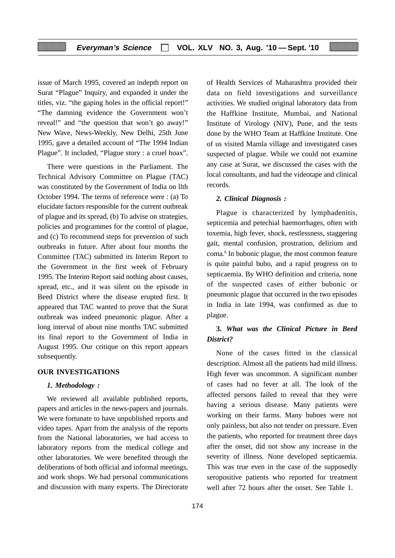issue of March 1995, covered an indepth report on Surat "Plague" Inquiry, and expanded it under the titles, viz. "the gaping holes in the official report!" "The damning evidence the Government won't reveal!" and "the question that won't go away!" New Wave, News-Weekly, New Delhi, 25th June 1995, gave a detailed account of "The 1994 Indian Plague". It included, "Plague story : a cruel hoax".

There were questions in the Parliament. The Technical Advisory Committee on Plague (TAC) was constituted by the Government of India on llth October 1994. The terms of reference were : (a) To elucidate factors responsible for the current outbreak of plague and its spread, (b) To advise on strategies, policies and programmes for the control of plague, and (c) To recommend steps for prevention of such outbreaks in future. After about four months the Committee (TAC) submitted its Interim Report to the Government in the first week of February 1995. The Interim Report said nothing about causes, spread, etc., and it was silent on the episode in Beed District where the disease erupted first. It appeared that TAC wanted to prove that the Surat outbreak was indeed pneumonic plague. After a long interval of about nine months TAC submitted its final report to the Government of India in August 1995. Our critique on this report appears subsequently.

#### **OUR INVESTIGATIONS**

### *1. Methodology :*

We reviewed all available published reports, papers and articles in the news-papers and journals. We were fortunate to have unpublished reports and video tapes. Apart from the analysis of the reports from the National laboratories, we had access to laboratory reports from the medical college and other laboratories. We were benefited through the deliberations of both official and informal meetings, and work shops. We had personal communications and discussion with many experts. The Directorate of Health Services of Maharashtra provided their data on field investigations and surveillance activities. We studied original laboratory data from the Haffkine Institute, Mumbai, and National Institute of Virology (NIV), Pune, and the tests done by the WHO Team at Haffkine Institute. One of us visited Mamla village and investigated cases suspected of plague. While we could not examine any case at Surat, we discussed the cases with the local consultants, and had the videotape and clinical records.

#### *2. Clinical Diagnosis :*

Plague is characterized by lymphadenitis, septicemia and petechial haemorrhages, often with toxemia, high fever, shock, restlessness, staggering gait, mental confusion, prostration, delirium and coma.<sup>6</sup> In bubonic plague, the most common feature is quite painful bubo, and a rapid progress on to septicaemia. By WHO definition and criteria, none of the suspected cases of either bubonic or pneumonic plague that occurred in the two episodes in India in late 1994, was confirmed as due to plague.

# **3.** *What was the Clinical Picture in Beed District?*

None of the cases fitted in the classical description. Almost all the patients had mild illness. High fever was uncommon. A significant number of cases had no fever at all. The look of the affected persons failed to reveal that they were having a serious disease. Many patients were working on their farms. Many buboes were not only painless, but also not tender on pressure. Even the patients, who reported for treatment three days after the onset, did not show any increase in the severity of illness. None developed septicaemia. This was true even in the case of the supposedly seropositive patients who reported for treatment well after 72 hours after the onset. See Table 1.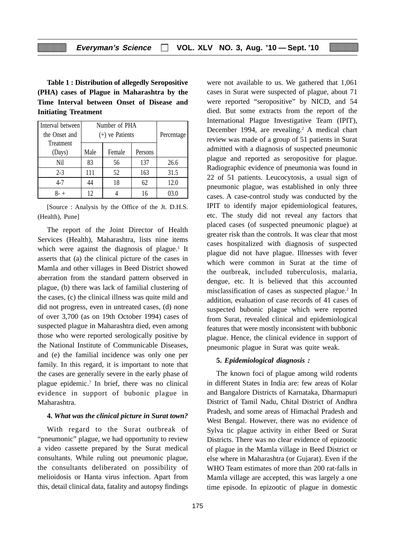**Table 1 : Distribution of allegedly Seropositive (PHA) cases of Plague in Maharashtra by the Time Interval between Onset of Disease and Initiating Treatment**

| Interval between | Number of PHA     |        |         |            |
|------------------|-------------------|--------|---------|------------|
| the Onset and    | $(+)$ ve Patients |        |         | Percentage |
| Treatment        |                   |        |         |            |
| (Days)           | Male              | Female | Persons |            |
| Nil              | 83                | 56     | 137     | 26.6       |
| $2 - 3$          | 111               | 52     | 163     | 31.5       |
| $4 - 7$          | 44                | 18     | 62      | 12.0       |
|                  | 12                |        | 16      |            |

[Source : Analysis by the Office of the Jt. D.H.S. (Health), Pune]

The report of the Joint Director of Health Services (Health), Maharashtra, lists nine items which were against the diagnosis of plague.<sup>1</sup> It asserts that (a) the clinical picture of the cases in Mamla and other villages in Beed District showed aberration from the standard pattern observed in plague, (b) there was lack of familial clustering of the cases, (c) the clinical illness was quite mild and did not progress, even in untreated cases, (d) none of over 3,700 (as on 19th October 1994) cases of suspected plague in Maharashtra died, even among those who were reported serologically positive by the National Institute of Communicable Diseases, and (e) the familial incidence was only one per family. In this regard, it is important to note that the cases are generally severe in the early phase of plague epidemic.7 In brief, there was no clinical evidence in support of bubonic plague in Maharashtra.

#### **4.** *What was the clinical picture in Surat town?*

With regard to the Surat outbreak of "pneumonic" plague, we had opportunity to review a video cassette prepared by the Surat medical consultants. While ruling out pneumonic plague, the consultants deliberated on possibility of melioidosis or Hanta virus infection. Apart from this, detail clinical data, fatality and autopsy findings

cases in Surat were suspected of plague, about 71 were reported "seropositive" by NICD, and 54 died. But some extracts from the report of the International Plague Investigative Team (IPIT), December 1994, are revealing.<sup>2</sup> A medical chart review was made of a group of 51 patients in Surat admitted with a diagnosis of suspected pneumonic plague and reported as seropositive for plague. Radiographic evidence of pneumonia was found in 22 of 51 patients. Leucocytosis, a usual sign of pneumonic plague, was established in only three cases. A case-control study was conducted by the IPIT to identify major epidemiological features, etc. The study did not reveal any factors that placed cases (of suspected pneumonic plague) at greater risk than the controls. It was clear that most cases hospitalized with diagnosis of suspected plague did not have plague. Illnesses with fever which were common in Surat at the time of the outbreak, included tuberculosis, malaria, dengue, etc. It is believed that this accounted misclassification of cases as suspected plague.<sup>2</sup> In addition, evaluation of case records of 41 cases of suspected bubonic plague which were reported from Surat, revealed clinical and epidemiological features that were mostly inconsistent with bubbonic plague. Hence, the clinical evidence in support of pneumonic plague in Surat was quite weak. **5.** *Epidemiological diagnosis :*

were not available to us. We gathered that 1,061

The known foci of plague among wild rodents in different States in India are: few areas of Kolar and Bangalore Districts of Karnataka, Dharmapuri District of Tamil Nadu, Chital District of Andhra Pradesh, and some areas of Himachal Pradesh and West Bengal. However, there was no evidence of Sylva tic plague activity in either Beed or Surat Districts. There was no clear evidence of epizootic of plague in the Mamla village in Beed District or else where in Maharashtra (or Gujarat). Even if the WHO Team estimates of more than 200 rat-falls in Mamla village are accepted, this was largely a one time episode. In epizootic of plague in domestic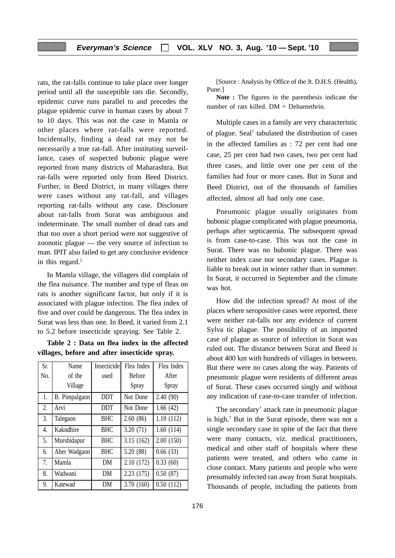rats, the rat-falls continue to take place over longer period until all the susceptible rats die. Secondly, epidemic curve runs parallel to and precedes the plague epidemic curve in human cases by about 7 to 10 days. This was not the case in Mamla or other places where rat-falls were reported. Incidentally, finding a dead rat may not be necessarily a true rat-fall. After instituting surveillance, cases of suspected bubonic plague were reported from many districts of Maharashtra. But rat-falls were reported only from Beed District. Further, in Beed District, in many villages there were cases without any rat-fall, and villages reporting rat-falls without any case. Disclosure about rat-falls from Surat was ambiguous and indeterminate. The small number of dead rats and that too over a short period were not suggestive of zoonotic plague — the very source of infection to man. IPIT also failed to get any conclusive evidence in this regard.<sup>2</sup>

In Mamla village, the villagers did complain of the flea nuisance. The number and type of fleas on rats is another significant factor, but only if it is associated with plague infection. The flea index of five and over could be dangerous. The flea index in Surat was less than one. In Beed, it varied from 2.1 to 5.2 before insecticide spraying. See Table 2.

**Table 2 : Data on flea index in the affected villages, before and after insecticide spray.**

| Sr. | Name                 | Insecticide | Flea Index    | Flea Index |
|-----|----------------------|-------------|---------------|------------|
| No. | of the               | used        | <b>Before</b> | After      |
|     | Village              |             | Spray         | Spray      |
| 1.  | <b>B.</b> Pimpalgaon | <b>DDT</b>  | Not Done      | 2.40(90)   |
| 2.  | Arvi                 | <b>DDT</b>  | Not Done      | 1.66(42)   |
| 3.  | Talegaon             | <b>BHC</b>  | 2.60(86)      | 1.10(112)  |
| 4.  | Kakndhire            | <b>BHC</b>  | 3.20(71)      | 1.60(114)  |
| 5.  | Murshidapur          | <b>BHC</b>  | 3.15(162)     | 2.00(150)  |
| 6.  | Aher Wadgaon         | <b>BHC</b>  | 5.20 (88)     | 0.66(33)   |
| 7.  | Mamla                | DM          | 2.10(172)     | 0.33(60)   |
| 8.  | Wadwani              | DM          | 2.23(175)     | 0.50(87)   |
| 9.  | Katewad              | DM          | 3.70 (160)    | 0.50(112)  |

[Source : Analysis by Office of the Jt. D.H.S. (Health), Pune.]

**Note :** The figures in the parenthesis indicate the number of rats killed.  $DM = Deltamethrin$ .

Multiple cases in a family are very characteristic of plague. Seal<sup>7</sup> tabulated the distribution of cases in the affected families as : 72 per cent had one case, 25 per cent had two cases, two per cent had three cases, and little over one per cent of the families had four or more cases. But in Surat and Beed District, out of the thousands of families affected, almost all had only one case.

Pneumonic plague usually originates from bubonic plague complicated with plague pneumonia, perhaps after septicaemia. The subsequent spread is from case-to-case. This was not the case in Surat. There was no bubonic plague. There was neither index case nor secondary cases. Plague is liable to break out in winter rather than in summer. In Surat, it occurred in September and the climate was hot.

How did the infection spread? At most of the places where seropositive cases were reported, there were neither rat-falls nor any evidence of current Sylva tic plague. The possibility of an imported case of plague as source of infection in Surat was ruled out. The distance between Surat and Beed is about 400 km with hundreds of villages in between. But there were no cases along the way. Patients of pneumonic plague were residents of different areas of Surat. These cases occurred singly and without any indication of case-to-case transfer of infection.

The secondary' attack rate in pneumonic plague is high.7 But in the Surat episode, there was not a single secondary case in spite of the fact that there were many contacts, viz. medical practitioners, medical and other staff of hospitals where these patients were treated, and others who came in close contact. Many patients and people who were presumably infected ran away from Surat hospitals. Thousands of people, including the patients from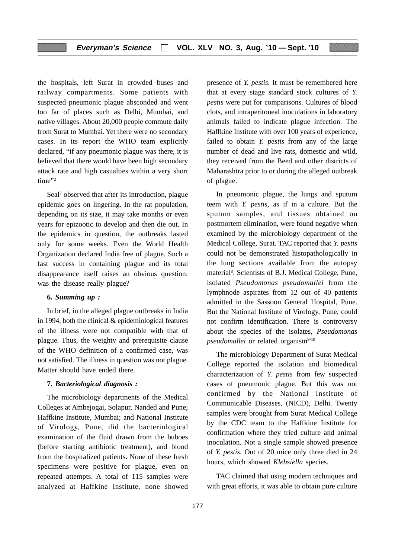the hospitals, left Surat in crowded buses and railway compartments. Some patients with suspected pneumonic plague absconded and went too far of places such as Delhi, Mumbai, and native villages. About 20,000 people commute daily from Surat to Mumbai. Yet there were no secondary cases. In its report the WHO team explicitly declared, "if any pneumonic plague was there, it is believed that there would have been high secondary attack rate and high casualties within a very short time"<sup>2</sup>

Seal<sup>7</sup> observed that after its introduction, plague epidemic goes on lingering. In the rat population, depending on its size, it may take months or even years for epizootic to develop and then die out. In the epidemics in question, the outbreaks lasted only for some weeks. Even the World Health Organization declared India free of plague. Such a fast success in containing plague and its total disappearance itself raises an obvious question: was the disease really plague?

# **6.** *Summing up :*

In brief, in the alleged plague outbreaks in India in 1994, both the clinical & epidemiological features of the illness were not compatible with that of plague. Thus, the weighty and prerequisite clause of the WHO definition of a confirmed case, was not satisfied. The illness in question was not plague. Matter should have ended there.

#### **7.** *Bacteriological diagnosis :*

The microbiology departments of the Medical Colleges at Ambejogai, Solapur, Nanded and Pune; Haffkine Institute, Mumbai; and National Institute of Virology, Pune, did the bacteriological examination of the fluid drawn from the buboes (before starting antibiotic treatment), and blood from the hospitalized patients. None of these fresh specimens were positive for plague, even on repeated attempts. A total of 115 samples were analyzed at Haffkine Institute, none showed presence of *Y. pestis.* It must be remembered here that at every stage standard stock cultures of *Y. pestis* were put for comparisons. Cultures of blood clots, and intraperitoneal inoculations in laboratory animals failed to indicate plague infection. The Haffkine Institute with over 100 years of experience, failed to obtain *Y. pestis* from any of the large number of dead and live rats, domestic and wild, they received from the Beed and other districts of Maharashtra prior to or during the alleged outbreak of plague.

In pneumonic plague, the lungs and sputum teem with *Y. pestis,* as if in a culture. But the sputum samples, and tissues obtained on postmortem elimination, were found negative when examined by the microbiology department of the Medical College, Surat. TAC reported that *Y. pestis* could not be demonstrated histopathologically in the lung sections available from the autopsy material<sup>8</sup>. Scientists of B.J. Medical College, Pune, isolated *Pseudomonas pseudomallei* from the lymphnode aspirates from 12 out of 40 patients admitted in the Sassoon General Hospital, Pune. But the National Institute of Virology, Pune, could not confirm identification. There is controversy about the species of the isolates, *Pseudomonas* pseudomallei or related organism<sup>9110</sup>

The microbiology Department of Surat Medical College reported the isolation and biomedical characterization of *Y. pestis* from few suspected cases of pneumonic plague. But this was not confirmed by the National Institute of Communicable Diseases, (NICD), Delhi. Twenty samples were brought from Surat Medical College by the CDC team to the Haffkine Institute for confirmation where they tried culture and animal inoculation. Not a single sample showed presence of *Y. pestis.* Out of 20 mice only three died in 24 hours, which showed *Klebsiella* species.

TAC claimed that using modern techniques and with great efforts, it was able to obtain pure culture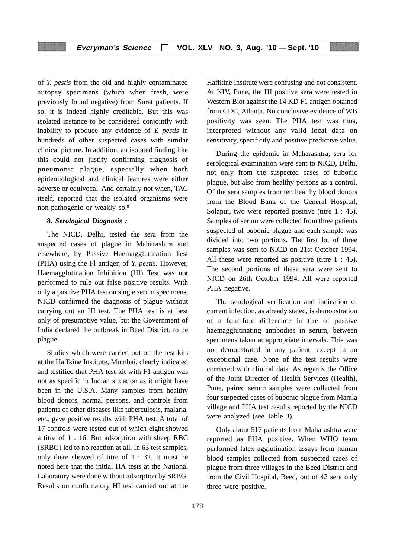of *Y. pestis* from the old and highly contaminated autopsy specimens (which when fresh, were previously found negative) from Surat patients. If so, it is indeed highly creditable. But this was isolated instance to be considered conjointly with inability to produce any evidence of *Y. pestis* in hundreds of other suspected cases with similar clinical picture. In addition, an isolated finding like this could not justify confirming diagnosis of pneumonic plague, especially when both epidemiological and clinical features were either adverse or equivocal. And certainly not when, TAC itself, reported that the isolated organisms were non-pathogenic or weakly so.8

## **8.** *Serological Diagnosis :*

The NICD, Delhi, tested the sera from the suspected cases of plague in Maharashtra and elsewhere, by Passive Haemagglutination Test (PHA) using the Fl antigen of *Y. pestis.* However, Haemagglutination Inhibition (HI) Test was not performed to rule out false positive results. With only a positive PHA test on single serum specimens, NICD confirmed the diagnosis of plague without carrying out an HI test. The PHA test is at best only of presumptive value, but the Government of India declared the outbreak in Beed District, to be plague.

Studies which were carried out on the test-kits at the Haffkine Institute, Mumbai, clearly indicated and testified that PHA test-kit with F1 antigen was not as specific in Indian situation as it might have been in the U.S.A. Many samples from healthy blood donors, normal persons, and controls from patients of other diseases like tuberculosis, malaria, etc., gave positive results with PHA test. A total of 17 controls were tested out of which eight showed a titre of 1 : 16. But adsorption with sheep RBC (SRBG) led to no reaction at all. In 63 test samples, only there showed of titre of 1 : 32. It must be noted here that the initial HA tests at the National Laboratory were done without adsorption by SRBG. Results on confirmatory HI test carried out at the Haffkine Institute were confusing and not consistent. At NIV, Pune, the HI positive sera were tested in Western Blot against the 14 KD F1 antigen obtained from CDC, Atlanta. No conclusive evidence of WB positivity was seen. The PHA test was thus, interpreted without any valid local data on sensitivity, specificity and positive predictive value.

During the epidemic in Maharashtra, sera for serological examination were sent to NICD, Delhi, not only from the suspected cases of bubonic plague, but also from healthy persons as a control. Of the sera samples from ten healthy blood donors from the Blood Bank of the General Hospital, Solapur, two were reported positive (titre 1 : 45). Samples of serum were collected from three patients suspected of bubonic plague and each sample was divided into two portions. The first lot of three samples was sent to NICD on 21st October 1994. All these were reported as positive (titre 1 : 45). The second portions of these sera were sent to NICD on 26th October 1994. All were reported PHA negative.

The serological verification and indication of current infection, as already stated, is demonstration of a four-fold difference in tire of passive haemagglutinating antibodies in serum, between specimens taken at appropriate intervals. This was not demonstrated in any patient, except in an exceptional case. None of the test results were corrected with clinical data. As regards the Office of the Joint Director of Health Services (Health), Pune, paired serum samples were collected from four suspected cases of bubonic plague from Mamla village and PHA test results reported by the NICD were analyzed (see Table 3).

Only about 517 patients from Maharashtra were reported as PHA positive. When WHO team performed latex agglutination assays from human blood samples collected from suspected cases of plague from three villages in the Beed District and from the Civil Hospital, Beed, out of 43 sera only three were positive.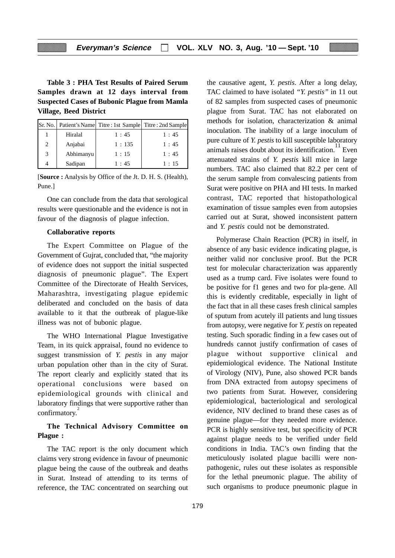**Table 3 : PHA Test Results of Paired Serum Samples drawn at 12 days interval from Suspected Cases of Bubonic Plague from Mamla Village, Beed District**

|   |           | Sr. No.   Patient's Name   Titre : 1st Sample   Titre : 2nd Sample |      |
|---|-----------|--------------------------------------------------------------------|------|
|   | Hiralal   | 1:45                                                               | 1:45 |
| 2 | Anjabai   | 1:135                                                              | 1:45 |
| 3 | Abhimanyu | 1:15                                                               | 1:45 |
|   | Sadipan   | 1:45                                                               | 1:15 |

[**Source :** Analysis by Office of the Jt. D. H. S. (Health), Pune.]

One can conclude from the data that serological results were questionable and the evidence is not in favour of the diagnosis of plague infection.

#### **Collaborative reports**

The Expert Committee on Plague of the Government of Gujrat, concluded that, "the majority of evidence does not support the initial suspected diagnosis of pneumonic plague". The Expert Committee of the Directorate of Health Services, Maharashtra, investigating plague epidemic deliberated and concluded on the basis of data available to it that the outbreak of plague-like illness was not of bubonic plague.

The WHO International Plague Investigative Team, in its quick appraisal, found no evidence to suggest transmission of *Y. pestis* in any major urban population other than in the city of Surat. The report clearly and explicitly stated that its operational conclusions were based on epidemiological grounds with clinical and laboratory findings that were supportive rather than confirmatory.<sup>2</sup>

# **The Technical Advisory Committee on Plague :**

The TAC report is the only document which claims very strong evidence in favour of pneumonic plague being the cause of the outbreak and deaths in Surat. Instead of attending to its terms of reference, the TAC concentrated on searching out the causative agent, *Y. pestis*. After a long delay, TAC claimed to have isolated *"Y. pestis"* in 11 out of 82 samples from suspected cases of pneumonic plague from Surat. TAC has not elaborated on methods for isolation, characterization & animal inoculation. The inability of a large inoculum of pure culture of *Y. pestis* to kill susceptible laboratory animals raises doubt about its identification.<sup>11</sup> Even attenuated strains of *Y. pestis* kill mice in large numbers. TAC also claimed that 82.2 per cent of the serum sample from convalescing patients from Surat were positive on PHA and HI tests. In marked contrast, TAC reported that histopathological examination of tissue samples even from autopsies carried out at Surat, showed inconsistent pattern and *Y. pestis* could not be demonstrated.

Polymerase Chain Reaction (PCR) in itself, in absence of any basic evidence indicating plague, is neither valid nor conclusive proof. But the PCR test for molecular characterization was apparently used as a trump card. Five isolates were found to be positive for f1 genes and two for pla-gene. All this is evidently creditable, especially in light of the fact that in all these cases fresh clinical samples of sputum from acutely ill patients and lung tissues from autopsy, were negative for *Y. pestis* on repeated testing. Such sporadic finding in a few cases out of hundreds cannot justify confirmation of cases of plague without supportive clinical and epidemiological evidence. The National Institute of Virology (NIV), Pune, also showed PCR bands from DNA extracted from autopsy specimens of two patients from Surat. However, considering epidemiological, bacteriological and serological evidence, NIV declined to brand these cases as of genuine plague—for they needed more evidence. PCR is highly sensitive test, but specificity of PCR against plague needs to be verified under field conditions in India. TAC's own finding that the meticulously isolated plague bacilli were nonpathogenic, rules out these isolates as responsible for the lethal pneumonic plague. The ability of such organisms to produce pneumonic plague in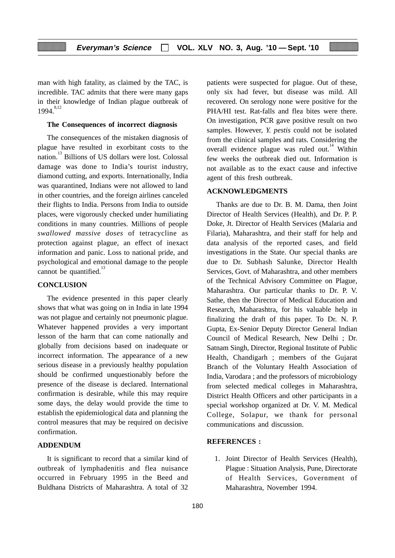man with high fatality, as claimed by the TAC, is incredible. TAC admits that there were many gaps in their knowledge of Indian plague outbreak of  $1994.$ <sup>8,12</sup>

#### **The Consequences of incorrect diagnosis**

The consequences of the mistaken diagnosis of plague have resulted in exorbitant costs to the nation.13 Billions of US dollars were lost. Colossal damage was done to India's tourist industry, diamond cutting, and exports. Internationally, India was quarantined, Indians were not allowed to land in other countries, and the foreign airlines canceled their flights to India. Persons from India to outside places, were vigorously checked under humiliating conditions in many countries. Millions of people *swallowed massive doses* of tetracycline as protection against plague, an effect of inexact information and panic. Loss to national pride, and psychological and emotional damage to the people cannot be quantified. $13$ 

# **CONCLUSION**

The evidence presented in this paper clearly shows that what was going on in India in late 1994 was not plague and certainly not pneumonic plague. Whatever happened provides a very important lesson of the harm that can come nationally and globally from decisions based on inadequate or incorrect information. The appearance of a new serious disease in a previously healthy population should be confirmed unquestionably before the presence of the disease is declared. International confirmation is desirable, while this may require some days, the delay would provide the time to establish the epidemiological data and planning the control measures that may be required on decisive confirmation.

#### **ADDENDUM**

It is significant to record that a similar kind of outbreak of lymphadenitis and flea nuisance occurred in February 1995 in the Beed and Buldhana Districts of Maharashtra. A total of 32

patients were suspected for plague. Out of these, only six had fever, but disease was mild. All recovered. On serology none were positive for the PHA/HI test. Rat-falls and flea bites were there. On investigation, PCR gave positive result on two samples. However, *Y. pestis* could not be isolated from the clinical samples and rats. Considering the overall evidence plague was ruled out.<sup>14</sup> Within few weeks the outbreak died out. Information is not available as to the exact cause and infective agent of this fresh outbreak.

#### **ACKNOWLEDGMENTS**

Thanks are due to Dr. B. M. Dama, then Joint Director of Health Services (Health), and Dr. P. P. Doke, Jt. Director of Health Services (Malaria and Filaria), Maharashtra, and their staff for help and data analysis of the reported cases, and field investigations in the State. Our special thanks are due to Dr. Subhash Salunke, Director Health Services, Govt. of Maharashtra, and other members of the Technical Advisory Committee on Plague, Maharashtra. Our particular thanks to Dr. P. V. Sathe, then the Director of Medical Education and Research, Maharashtra, for his valuable help in finalizing the draft of this paper. To Dr. N. P. Gupta, Ex-Senior Deputy Director General Indian Council of Medical Research, New Delhi ; Dr. Satnam Singh, Director, Regional Institute of Public Health, Chandigarh ; members of the Gujarat Branch of the Voluntary Health Association of India, Varodara ; and the professors of microbiology from selected medical colleges in Maharashtra, District Health Officers and other participants in a special workshop organized at Dr. V. M. Medical College, Solapur, we thank for personal communications and discussion.

# **REFERENCES :**

1. Joint Director of Health Services (Health), Plague : Situation Analysis, Pune, Directorate of Health Services, Government of Maharashtra, November 1994.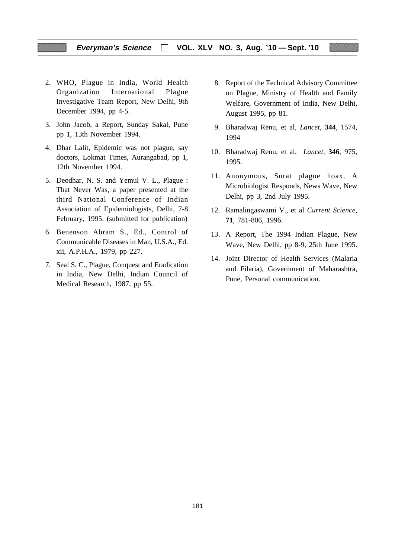# **Everyman's Science VOL. XLV NO. 3, Aug. '10 — Sept. '10**

- 2. WHO, Plague in India, World Health Organization International Plague Investigative Team Report, New Delhi, 9th December 1994, pp 4-5.
- 3. John Jacob, a Report, Sunday Sakal, Pune pp 1, 13th November 1994.
- 4. Dhar Lalit, Epidemic was not plague, say doctors, Lokmat Times, Aurangabad, pp 1, 12th November 1994.
- 5. Deodhar, N. S. and Yemul V. L., Plague : That Never Was, a paper presented at the third National Conference of Indian Association of Epidemiologists, Delhi, 7-8 February, 1995. (submitted for publication)
- 6. Benenson Abram S., Ed., Control of Communicable Diseases in Man, U.S.A., Ed. xii, A.P.H.A., 1979, pp 227.
- 7. Seal S. C., Plague, Conquest and Eradication in India, New Delhi, Indian Council of Medical Research, 1987, pp 55.
- 8. Report of the Technical Advisory Committee on Plague, Ministry of Health and Family Welfare, Government of India, New Delhi, August 1995, pp 81.
- 9. Bharadwaj Renu, et al, *Lancet*, **344**, 1574, 1994
- 10. Bharadwaj Renu, et al, *Lancet*, **346**, 975, 1995.
- 11. Anonymous, Surat plague hoax, A Microbiologist Responds, News Wave, New Delhi, pp 3, 2nd July 1995.
- 12. Ramalingaswami V., et al *Current Science*, **71**, 781-806, 1996.
- 13. A Report, The 1994 Indian Plague, New Wave, New Delhi, pp 8-9, 25th June 1995.
- 14. Joint Director of Health Services (Malaria and Filaria), Government of Maharashtra, Pune, Personal communication.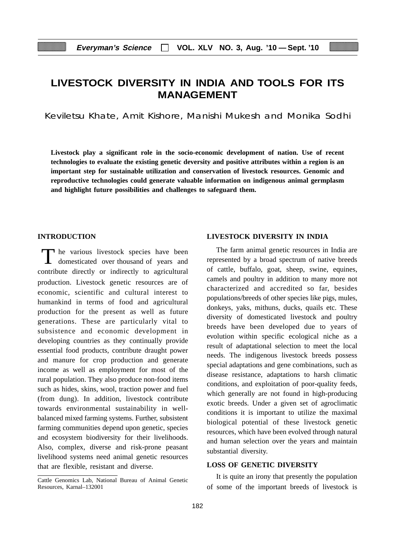# **LIVESTOCK DIVERSITY IN INDIA AND TOOLS FOR ITS MANAGEMENT**

Keviletsu Khate, Amit Kishore, Manishi Mukesh and Monika Sodhi

**Livestock play a significant role in the socio-economic development of nation. Use of recent technologies to evaluate the existing genetic deversity and positive attributes within a region is an important step for sustainable utilization and conservation of livestock resources. Genomic and reproductive technologies could generate valuable information on indigenous animal germplasm and highlight future possibilities and challenges to safeguard them.**

# **INTRODUCTION**

The various livestock species have been domesticated over thousand of years and contribute directly or indirectly to agricultural production. Livestock genetic resources are of economic, scientific and cultural interest to humankind in terms of food and agricultural production for the present as well as future generations. These are particularly vital to subsistence and economic development in developing countries as they continually provide essential food products, contribute draught power and manure for crop production and generate income as well as employment for most of the rural population. They also produce non-food items such as hides, skins, wool, traction power and fuel (from dung). In addition, livestock contribute towards environmental sustainability in wellbalanced mixed farming systems. Further, subsistent farming communities depend upon genetic, species and ecosystem biodiversity for their livelihoods. Also, complex, diverse and risk-prone peasant livelihood systems need animal genetic resources that are flexible, resistant and diverse.

#### **LIVESTOCK DIVERSITY IN INDIA**

The farm animal genetic resources in India are represented by a broad spectrum of native breeds of cattle, buffalo, goat, sheep, swine, equines, camels and poultry in addition to many more not characterized and accredited so far, besides populations/breeds of other species like pigs, mules, donkeys, yaks, mithuns, ducks, quails etc. These diversity of domesticated livestock and poultry breeds have been developed due to years of evolution within specific ecological niche as a result of adaptational selection to meet the local needs. The indigenous livestock breeds possess special adaptations and gene combinations, such as disease resistance, adaptations to harsh climatic conditions, and exploitation of poor-quality feeds, which generally are not found in high-producing exotic breeds. Under a given set of agroclimatic conditions it is important to utilize the maximal biological potential of these livestock genetic resources, which have been evolved through natural and human selection over the years and maintain substantial diversity.

#### **LOSS OF GENETIC DIVERSITY**

It is quite an irony that presently the population of some of the important breeds of livestock is

Cattle Genomics Lab, National Bureau of Animal Genetic Resources, Karnal–132001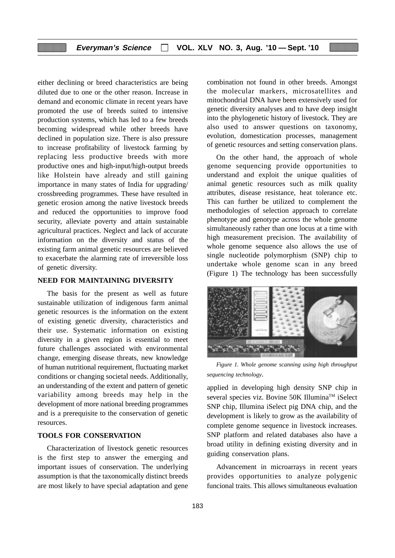either declining or breed characteristics are being diluted due to one or the other reason. Increase in demand and economic climate in recent years have promoted the use of breeds suited to intensive production systems, which has led to a few breeds becoming widespread while other breeds have declined in population size. There is also pressure to increase profitability of livestock farming by replacing less productive breeds with more productive ones and high-input/high-output breeds like Holstein have already and still gaining importance in many states of India for upgrading/ crossbreeding programmes. These have resulted in genetic erosion among the native livestock breeds and reduced the opportunities to improve food security, alleviate poverty and attain sustainable agricultural practices. Neglect and lack of accurate information on the diversity and status of the existing farm animal genetic resources are believed to exacerbate the alarming rate of irreversible loss of genetic diversity.

#### **NEED FOR MAINTAINING DIVERSITY**

The basis for the present as well as future sustainable utilization of indigenous farm animal genetic resources is the information on the extent of existing genetic diversity, characteristics and their use. Systematic information on existing diversity in a given region is essential to meet future challenges associated with environmental change, emerging disease threats, new knowledge of human nutritional requirement, fluctuating market conditions or changing societal needs. Additionally, an understanding of the extent and pattern of genetic variability among breeds may help in the development of more national breeding programmes and is a prerequisite to the conservation of genetic resources.

# **TOOLS FOR CONSERVATION**

Characterization of livestock genetic resources is the first step to answer the emerging and important issues of conservation. The underlying assumption is that the taxonomically distinct breeds are most likely to have special adaptation and gene combination not found in other breeds. Amongst the molecular markers, microsatellites and mitochondrial DNA have been extensively used for genetic diversity analyses and to have deep insight into the phylogenetic history of livestock. They are also used to answer questions on taxonomy, evolution, domestication processes, management of genetic resources and setting conservation plans.

On the other hand, the approach of whole genome sequencing provide opportunities to understand and exploit the unique qualities of animal genetic resources such as milk quality attributes, disease resistance, heat tolerance etc. This can further be utilized to complement the methodologies of selection approach to correlate phenotype and genotype across the whole genome simultaneously rather than one locus at a time with high measurement precision. The availability of whole genome sequence also allows the use of single nucleotide polymorphism (SNP) chip to undertake whole genome scan in any breed (Figure 1) The technology has been successfully



*Figure 1. Whole genome scanning using high throughput sequencing technology*.

applied in developing high density SNP chip in several species viz. Bovine 50K Illumina™ iSelect SNP chip, Illumina iSelect pig DNA chip, and the development is likely to grow as the availability of complete genome sequence in livestock increases. SNP platform and related databases also have a broad utility in defining existing diversity and in guiding conservation plans.

Advancement in microarrays in recent years provides opportunities to analyze polygenic funcional traits. This allows simultaneous evaluation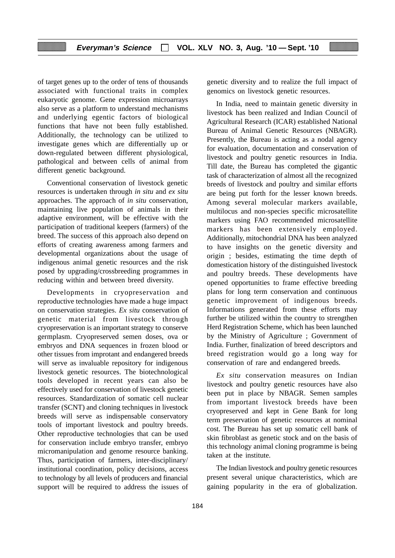of target genes up to the order of tens of thousands associated with functional traits in complex eukaryotic genome. Gene expression microarrays also serve as a platform to understand mechanisms and underlying egentic factors of biological functions that have not been fully established. Additionally, the technology can be utilized to investigate genes which are differentially up or down-regulated between different physiological, pathological and between cells of animal from different genetic background.

Conventional conservation of livestock genetic resources is undertaken through *in situ* and *ex situ* approaches. The approach of *in situ* conservation, maintaining live population of animals in their adaptive environment, will be effective with the participation of traditional keepers (farmers) of the breed. The success of this approach also depend on efforts of creating awareness among farmers and developmental organizations about the usage of indigenous animal genetic resources and the risk posed by upgrading/crossbreeding programmes in reducing within and between breed diversity.

Developments in cryopreservation and reproductive technologies have made a huge impact on conservation strategies. *Ex situ* conservation of genetic material from livestock through cryopreservation is an important strategy to conserve germplasm. Cryopreserved semen doses, ova or embryos and DNA sequences in frozen blood or other tissues from improtant and endangered breeds will serve as invaluable repository for indigenous livestock genetic resources. The biotechnological tools developed in recent years can also be effectively used for conservation of livestock genetic resources. Standardization of somatic cell nuclear transfer (SCNT) and cloning techniques in livestock breeds will serve as indispensable conservatory tools of important livestock and poultry breeds. Other reproductive technologies that can be used for conservation include embryo transfer, embryo micromanipulation and genome resource banking. Thus, participation of farmers, inter-disciplinary/ institutional coordination, policy decisions, access to technology by all levels of producers and financial support will be required to address the issues of genetic diversity and to realize the full impact of genomics on livestock genetic resources.

In India, need to maintain genetic diversity in livestock has been realized and Indian Council of Agricultural Research (ICAR) established National Bureau of Animal Genetic Resources (NBAGR). Presently, the Bureau is acting as a nodal agency for evaluation, documentation and conservation of livestock and poultry genetic resources in India. Till date, the Bureau has completed the gigantic task of characterization of almost all the recognized breeds of livestock and poultry and similar efforts are being put forth for the lesser known breeds. Among several molecular markers available, multilocus and non-species specific microsatellite markers using FAO recommended microsatellite markers has been extensively employed. Additionally, mitochondrial DNA has been analyzed to have insights on the genetic diversity and origin ; besides, estimating the time depth of domestication history of the distinguished livestock and poultry breeds. These developments have opened opportunities to frame effective breeding plans for long term conservation and continuous genetic improvement of indigenous breeds. Informations generated from these efforts may further be utilized within the country to strengthen Herd Registration Scheme, which has been launched by the Ministry of Agriculture ; Government of India. Further, finalization of breed descriptors and breed registration would go a long way for conservation of rare and endangered breeds.

*Ex situ* conservation measures on Indian livestock and poultry genetic resources have also been put in place by NBAGR. Semen samples from important livestock breeds have been cryopreserved and kept in Gene Bank for long term preservation of genetic resources at nominal cost. The Bureau has set up somatic cell bank of skin fibroblast as genetic stock and on the basis of this technology animal cloning programme is being taken at the institute.

The Indian livestock and poultry genetic resources present several unique characteristics, which are gaining popularity in the era of globalization.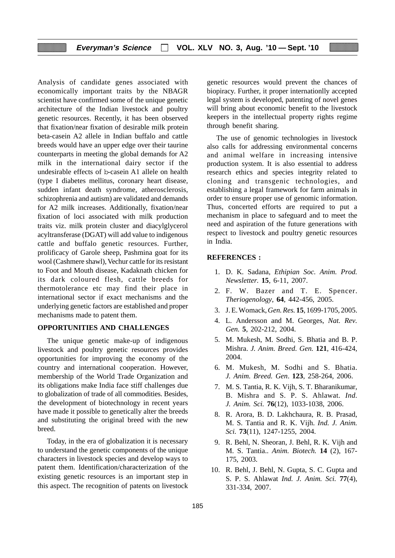Analysis of candidate genes associated with economically important traits by the NBAGR scientist have confirmed some of the unique genetic architecture of the Indian livestock and poultry genetic resources. Recently, it has been observed that fixation/near fixation of desirable milk protein beta-casein A2 allele in Indian buffalo and cattle breeds would have an upper edge over their taurine counterparts in meeting the global demands for A2 milk in the international dairy sector if the undesirable effects of b-casein A1 allele on health (type I diabetes mellitus, coronary heart disease, sudden infant death syndrome, atherosclerosis, schizophrenia and autism) are validated and demands for A2 milk increases. Additionally, fixation/near fixation of loci associated with milk production traits viz. milk protein cluster and diacylglycerol acyltransferase (DGAT) will add value to indigenous cattle and buffalo genetic resources. Further, prolificacy of Garole sheep, Pashmina goat for its wool (Cashmere shawl), Vechur cattle for its resistant to Foot and Mouth disease, Kadaknath chicken for its dark coloured flesh, cattle breeds for thermotolerance etc may find their place in international sector if exact mechanisms and the underlying genetic factors are established and proper mechanisms made to patent them.

# **OPPORTUNITIES AND CHALLENGES**

The unique genetic make-up of indigenous livestock and poultry genetic resources provides opportunities for improving the economy of the country and international cooperation. However, membership of the World Trade Organization and its obligations make India face stiff challenges due to globalization of trade of all commodities. Besides, the development of biotechnology in recent years have made it possible to genetically alter the breeds and substituting the original breed with the new breed.

Today, in the era of globalization it is necessary to understand the genetic components of the unique characters in livestock species and develop ways to patent them. Identification/characterization of the existing genetic resources is an important step in this aspect. The recognition of patents on livestock genetic resources would prevent the chances of biopiracy. Further, it proper internationlly accepted legal system is developed, patenting of novel genes will bring about economic benefit to the livestock keepers in the intellectual property rights regime through benefit sharing.

The use of genomic technologies in livestock also calls for addressing environmental concerns and animal welfare in increasing intensive production system. It is also essential to address research ethics and species integrity related to cloning and transgenic technologies, and establishing a legal framework for farm animals in order to ensure proper use of genomic information. Thus, concerted efforts are required to put a mechanism in place to safeguard and to meet the need and aspiration of the future generations with respect to livestock and poultry genetic resources in India.

#### **REFERENCES :**

- 1. D. K. Sadana, *Ethipian Soc. Anim. Prod. Newsletter.* **15**, 6-11, 2007.
- 2. F. W. Bazer and T. E. Spencer. *Theriogenology*, **64**, 442-456, 2005.
- 3. J. E. Womack, *Gen. Res.* **15**, 1699-1705, 2005.
- 4. L. Andersson and M. Georges, *Nat. Rev. Gen.* **5**, 202-212, 2004.
- 5. M. Mukesh, M. Sodhi, S. Bhatia and B. P. Mishra. *J. Anim. Breed. Gen.* **121**, 416-424, 2004.
- 6. M. Mukesh, M. Sodhi and S. Bhatia. *J. Anim. Breed. Gen*. **123**, 258-264, 2006.
- 7. M. S. Tantia, R. K. Vijh, S. T. Bharanikumar, B. Mishra and S. P. S. Ahlawat. *Ind. J. Anim. Sci.* **76**(12), 1033-1038, 2006.
- 8. R. Arora, B. D. Lakhchaura, R. B. Prasad, M. S. Tantia and R. K. Vijh. *Ind. J. Anim. Sci.* **73**(11), 1247-1255, 2004.
- 9. R. Behl, N. Sheoran, J. Behl, R. K. Vijh and M. S. Tantia.. *Anim. Biotech.* **14** (2), 167- 175, 2003.
- 10. R. Behl, J. Behl, N. Gupta, S. C. Gupta and S. P. S. Ahlawat *Ind. J. Anim. Sci.* **77**(4), 331-334, 2007.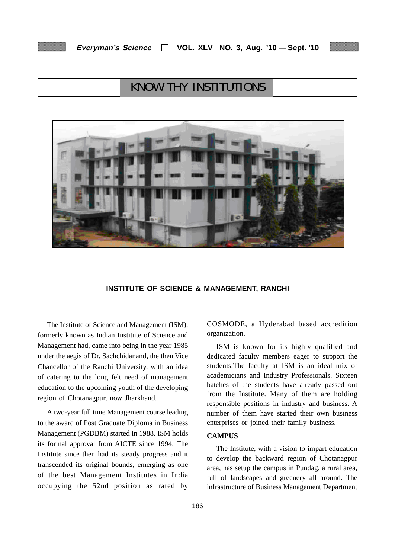# KNOW THY INSTITUTIONS



#### **INSTITUTE OF SCIENCE & MANAGEMENT, RANCHI**

The Institute of Science and Management (ISM), formerly known as Indian Institute of Science and Management had, came into being in the year 1985 under the aegis of Dr. Sachchidanand, the then Vice Chancellor of the Ranchi University, with an idea of catering to the long felt need of management education to the upcoming youth of the developing region of Chotanagpur, now Jharkhand.

A two-year full time Management course leading to the award of Post Graduate Diploma in Business Management (PGDBM) started in 1988. ISM holds its formal approval from AICTE since 1994. The Institute since then had its steady progress and it transcended its original bounds, emerging as one of the best Management Institutes in India occupying the 52nd position as rated by

COSMODE, a Hyderabad based accredition organization.

ISM is known for its highly qualified and dedicated faculty members eager to support the students.The faculty at ISM is an ideal mix of academicians and Industry Professionals. Sixteen batches of the students have already passed out from the Institute. Many of them are holding responsible positions in industry and business. A number of them have started their own business enterprises or joined their family business.

# **CAMPUS**

The Institute, with a vision to impart education to develop the backward region of Chotanagpur area, has setup the campus in Pundag, a rural area, full of landscapes and greenery all around. The infrastructure of Business Management Department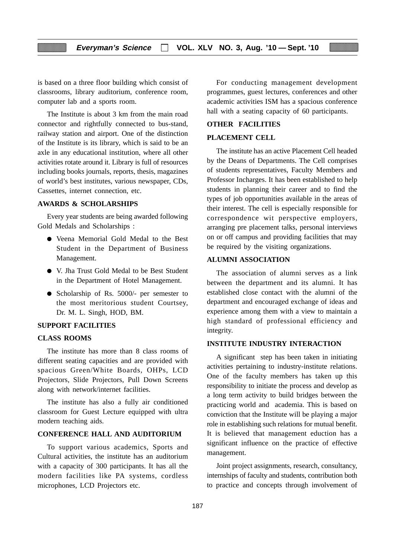is based on a three floor building which consist of classrooms, library auditorium, conference room, computer lab and a sports room.

The Institute is about 3 km from the main road connector and rightfully connected to bus-stand, railway station and airport. One of the distinction of the Institute is its library, which is said to be an axle in any educational institution, where all other activities rotate around it. Library is full of resources including books journals, reports, thesis, magazines of world's best institutes, various newspaper, CDs, Cassettes, internet connection, etc.

### **AWARDS & SCHOLARSHIPS**

Every year students are being awarded following Gold Medals and Scholarships :

- Veena Memorial Gold Medal to the Best Student in the Department of Business Management.
- V. Jha Trust Gold Medal to be Best Student in the Department of Hotel Management.
- Scholarship of Rs. 5000/- per semester to the most meritorious student Courtsey, Dr. M. L. Singh, HOD, BM.

#### **SUPPORT FACILITIES**

# **CLASS ROOMS**

The institute has more than 8 class rooms of different seating capacities and are provided with spacious Green/White Boards, OHPs, LCD Projectors, Slide Projectors, Pull Down Screens along with network/internet facilities.

The institute has also a fully air conditioned classroom for Guest Lecture equipped with ultra modern teaching aids.

### **CONFERENCE HALL AND AUDITORIUM**

To support various academics, Sports and Cultural activities, the institute has an auditorium with a capacity of 300 participants. It has all the modern facilities like PA systems, cordless microphones, LCD Projectors etc.

For conducting management development programmes, guest lectures, conferences and other academic activities ISM has a spacious conference hall with a seating capacity of 60 participants.

#### **OTHER FACILITIES**

#### **PLACEMENT CELL**

The institute has an active Placement Cell headed by the Deans of Departments. The Cell comprises of students representatives, Faculty Members and Professor Incharges. It has been established to help students in planning their career and to find the types of job opportunities available in the areas of their interest. The cell is especially responsible for correspondence wit perspective employers, arranging pre placement talks, personal interviews on or off campus and providing facilities that may be required by the visiting organizations.

# **ALUMNI ASSOCIATION**

The association of alumni serves as a link between the department and its alumni. It has established close contact with the alumni of the department and encouraged exchange of ideas and experience among them with a view to maintain a high standard of professional efficiency and integrity.

## **INSTITUTE INDUSTRY INTERACTION**

A significant step has been taken in initiating activities pertaining to industry-institute relations. One of the faculty members has taken up this responsibility to initiate the process and develop as a long term activity to build bridges between the practicing world and academia. This is based on conviction that the Institute will be playing a major role in establishing such relations for mutual benefit. It is believed that management eduction has a significant influence on the practice of effective management.

Joint project assignments, research, consultancy, internships of faculty and students, contribution both to practice and concepts through involvement of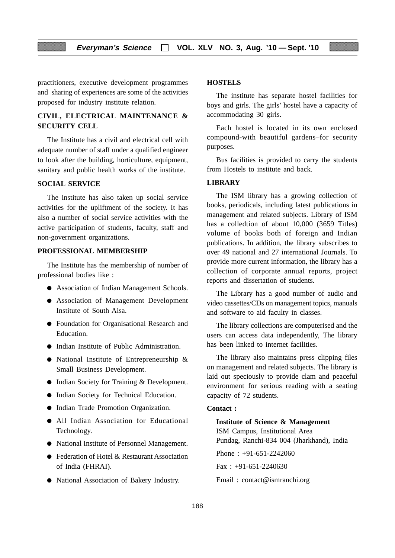practitioners, executive development programmes and sharing of experiences are some of the activities proposed for industry institute relation.

# **CIVIL, ELECTRICAL MAINTENANCE & SECURITY CELL**

The Institute has a civil and electrical cell with adequate number of staff under a qualified engineer to look after the building, horticulture, equipment, sanitary and public health works of the institute.

### **SOCIAL SERVICE**

The institute has also taken up social service activities for the upliftment of the society. It has also a number of social service activities with the active participation of students, faculty, staff and non-government organizations.

#### **PROFESSIONAL MEMBERSHIP**

The Institute has the membership of number of professional bodies like :

- Association of Indian Management Schools.
- Association of Management Development Institute of South Aisa.
- Foundation for Organisational Research and Education.
- Indian Institute of Public Administration.
- National Institute of Entrepreneurship & Small Business Development.
- Indian Society for Training & Development.
- Indian Society for Technical Education.
- Indian Trade Promotion Organization.
- All Indian Association for Educational Technology.
- National Institute of Personnel Management.
- Federation of Hotel & Restaurant Association of India (FHRAI).
- National Association of Bakery Industry.

# **HOSTELS**

The institute has separate hostel facilities for boys and girls. The girls' hostel have a capacity of accommodating 30 girls.

Each hostel is located in its own enclosed compound-with beautiful gardens–for security purposes.

Bus facilities is provided to carry the students from Hostels to institute and back.

# **LIBRARY**

The ISM library has a growing collection of books, periodicals, including latest publications in management and related subjects. Library of ISM has a colledtion of about 10,000 (3659 Titles) volume of books both of foreign and Indian publications. In addition, the library subscribes to over 49 national and 27 international Journals. To provide more current information, the library has a collection of corporate annual reports, project reports and dissertation of students.

The Library has a good number of audio and video cassettes/CDs on management topics, manuals and software to aid faculty in classes.

The library collections are computerised and the users can access data independently, The library has been linked to internet facilities.

The library also maintains press clipping files on management and related subjects. The library is laid out speciously to provide clam and peaceful environment for serious reading with a seating capacity of 72 students.

#### **Contact :**

#### **Institute of Science & Management**

ISM Campus, Institutional Area Pundag, Ranchi-834 004 (Jharkhand), India Phone : +91-651-2242060 Fax : +91-651-2240630 Email : contact@ismranchi.org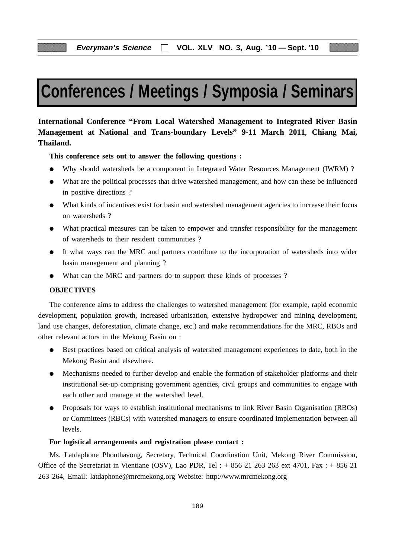# **Conferences / Meetings / Symposia / Seminars**

**International Conference "From Local Watershed Management to Integrated River Basin Management at National and Trans-boundary Levels" 9-11 March 2011**, **Chiang Mai, Thailand.**

**This conference sets out to answer the following questions :**

- Why should watersheds be a component in Integrated Water Resources Management (IWRM) ?
- What are the political processes that drive watershed management, and how can these be influenced in positive directions ?
- What kinds of incentives exist for basin and watershed management agencies to increase their focus on watersheds ?
- What practical measures can be taken to empower and transfer responsibility for the management of watersheds to their resident communities ?
- It what ways can the MRC and partners contribute to the incorporation of watersheds into wider basin management and planning ?
- What can the MRC and partners do to support these kinds of processes ?

# **OBJECTIVES**

The conference aims to address the challenges to watershed management (for example, rapid economic development, population growth, increased urbanisation, extensive hydropower and mining development, land use changes, deforestation, climate change, etc.) and make recommendations for the MRC, RBOs and other relevant actors in the Mekong Basin on :

- Best practices based on critical analysis of watershed management experiences to date, both in the Mekong Basin and elsewhere.
- Mechanisms needed to further develop and enable the formation of stakeholder platforms and their institutional set-up comprising government agencies, civil groups and communities to engage with each other and manage at the watershed level.
- Proposals for ways to establish institutional mechanisms to link River Basin Organisation (RBOs) or Committees (RBCs) with watershed managers to ensure coordinated implementation between all levels.

#### **For logistical arrangements and registration please contact :**

Ms. Latdaphone Phouthavong, Secretary, Technical Coordination Unit, Mekong River Commission, Office of the Secretariat in Vientiane (OSV), Lao PDR, Tel :  $+ 856 21 263 263$  ext 4701, Fax :  $+ 856 21$ 263 264, Email: latdaphone@mrcmekong.org Website: http://www.mrcmekong.org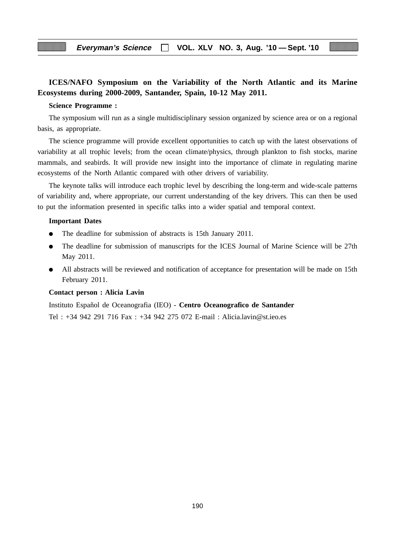# **ICES/NAFO Symposium on the Variability of the North Atlantic and its Marine Ecosystems during 2000-2009, Santander, Spain, 10-12 May 2011.**

#### **Science Programme :**

The symposium will run as a single multidisciplinary session organized by science area or on a regional basis, as appropriate.

The science programme will provide excellent opportunities to catch up with the latest observations of variability at all trophic levels; from the ocean climate/physics, through plankton to fish stocks, marine mammals, and seabirds. It will provide new insight into the importance of climate in regulating marine ecosystems of the North Atlantic compared with other drivers of variability.

The keynote talks will introduce each trophic level by describing the long-term and wide-scale patterns of variability and, where appropriate, our current understanding of the key drivers. This can then be used to put the information presented in specific talks into a wider spatial and temporal context.

#### **Important Dates**

- The deadline for submission of abstracts is 15th January 2011.
- The deadline for submission of manuscripts for the ICES Journal of Marine Science will be 27th May 2011.
- All abstracts will be reviewed and notification of acceptance for presentation will be made on 15th February 2011.

#### **Contact person : Alicia Lavin**

Instituto Español de Oceanografia (IEO) - **Centro Oceanografico de Santander** Tel : +34 942 291 716 Fax : +34 942 275 072 E-mail : Alicia.lavin@st.ieo.es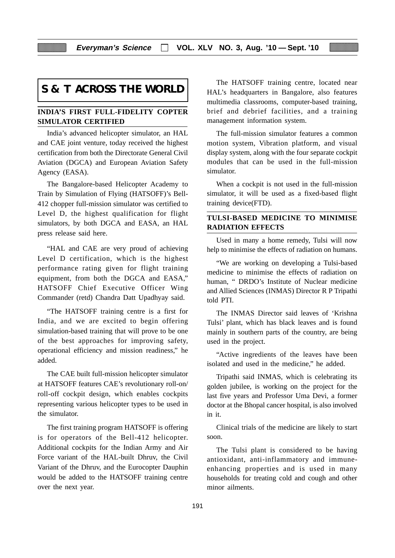**Everyman's Science VOL. XLV NO. 3, Aug. '10 — Sept. '10**

# **S & T ACROSS THE WORLD**

# **INDIA'S FIRST FULL-FIDELITY COPTER SIMULATOR CERTIFIED**

India's advanced helicopter simulator, an HAL and CAE joint venture, today received the highest certification from both the Directorate General Civil Aviation (DGCA) and European Aviation Safety Agency (EASA).

The Bangalore-based Helicopter Academy to Train by Simulation of Flying (HATSOFF)'s Bell-412 chopper full-mission simulator was certified to Level D, the highest qualification for flight simulators, by both DGCA and EASA, an HAL press release said here.

"HAL and CAE are very proud of achieving Level D certification, which is the highest performance rating given for flight training equipment, from both the DGCA and EASA," HATSOFF Chief Executive Officer Wing Commander (retd) Chandra Datt Upadhyay said.

"The HATSOFF training centre is a first for India, and we are excited to begin offering simulation-based training that will prove to be one of the best approaches for improving safety, operational efficiency and mission readiness," he added.

The CAE built full-mission helicopter simulator at HATSOFF features CAE's revolutionary roll-on/ roll-off cockpit design, which enables cockpits representing various helicopter types to be used in the simulator.

The first training program HATSOFF is offering is for operators of the Bell-412 helicopter. Additional cockpits for the Indian Army and Air Force variant of the HAL-built Dhruv, the Civil Variant of the Dhruv, and the Eurocopter Dauphin would be added to the HATSOFF training centre over the next year.

The HATSOFF training centre, located near HAL's headquarters in Bangalore, also features multimedia classrooms, computer-based training, brief and debrief facilities, and a training management information system.

The full-mission simulator features a common motion system, Vibration platform, and visual display system, along with the four separate cockpit modules that can be used in the full-mission simulator.

When a cockpit is not used in the full-mission simulator, it will be used as a fixed-based flight training device(FTD).

# **TULSI-BASED MEDICINE TO MINIMISE RADIATION EFFECTS**

Used in many a home remedy, Tulsi will now help to minimise the effects of radiation on humans.

"We are working on developing a Tulsi-based medicine to minimise the effects of radiation on human, " DRDO's Institute of Nuclear medicine and Allied Sciences (INMAS) Director R P Tripathi told PTI.

The INMAS Director said leaves of 'Krishna Tulsi' plant, which has black leaves and is found mainly in southern parts of the country, are being used in the project.

"Active ingredients of the leaves have been isolated and used in the medicine," he added.

Tripathi said INMAS, which is celebrating its golden jubilee, is working on the project for the last five years and Professor Uma Devi, a former doctor at the Bhopal cancer hospital, is also involved in it.

Clinical trials of the medicine are likely to start soon.

The Tulsi plant is considered to be having antioxidant, anti-inflammatory and immuneenhancing properties and is used in many households for treating cold and cough and other minor ailments.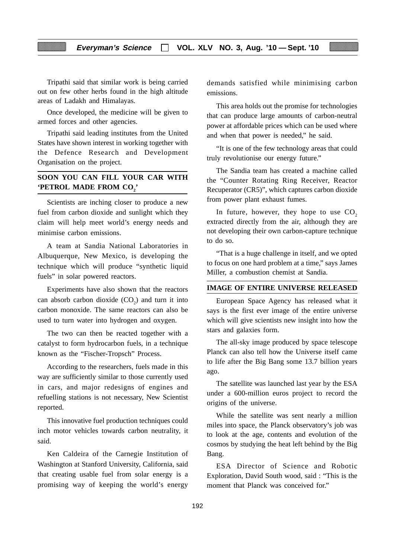Tripathi said that similar work is being carried out on few other herbs found in the high altitude areas of Ladakh and Himalayas.

Once developed, the medicine will be given to armed forces and other agencies.

Tripathi said leading institutes from the United States have shown interest in working together with the Defence Research and Development Organisation on the project.

# **SOON YOU CAN FILL YOUR CAR WITH 'PETROL MADE FROM CO<sub>2</sub>'**

Scientists are inching closer to produce a new fuel from carbon dioxide and sunlight which they claim will help meet world's energy needs and minimise carbon emissions.

A team at Sandia National Laboratories in Albuquerque, New Mexico, is developing the technique which will produce "synthetic liquid fuels" in solar powered reactors.

Experiments have also shown that the reactors can absorb carbon dioxide  $(CO_2)$  and turn it into carbon monoxide. The same reactors can also be used to turn water into hydrogen and oxygen.

The two can then be reacted together with a catalyst to form hydrocarbon fuels, in a technique known as the "Fischer-Tropsch" Process.

According to the researchers, fuels made in this way are sufficiently similar to those currently used in cars, and major redesigns of engines and refuelling stations is not necessary, New Scientist reported.

This innovative fuel production techniques could inch motor vehicles towards carbon neutrality, it said.

Ken Caldeira of the Carnegie Institution of Washington at Stanford University, California, said that creating usable fuel from solar energy is a promising way of keeping the world's energy

demands satisfied while minimising carbon emissions.

This area holds out the promise for technologies that can produce large amounts of carbon-neutral power at affordable prices which can be used where and when that power is needed," he said.

"It is one of the few technology areas that could truly revolutionise our energy future."

The Sandia team has created a machine called the "Counter Rotating Ring Receiver, Reactor Recuperator (CR5)", which captures carbon dioxide from power plant exhaust fumes.

In future, however, they hope to use  $CO<sub>2</sub>$ extracted directly from the air, although they are not developing their own carbon-capture technique to do so.

"That is a huge challenge in itself, and we opted to focus on one hard problem at a time," says James Miller, a combustion chemist at Sandia.

#### **IMAGE OF ENTIRE UNIVERSE RELEASED**

European Space Agency has released what it says is the first ever image of the entire universe which will give scientists new insight into how the stars and galaxies form.

The all-sky image produced by space telescope Planck can also tell how the Universe itself came to life after the Big Bang some 13.7 billion years ago.

The satellite was launched last year by the ESA under a 600-million euros project to record the origins of the universe.

While the satellite was sent nearly a million miles into space, the Planck observatory's job was to look at the age, contents and evolution of the cosmos by studying the heat left behind by the Big Bang.

ESA Director of Science and Robotic Exploration, David South wood, said : "This is the moment that Planck was conceived for."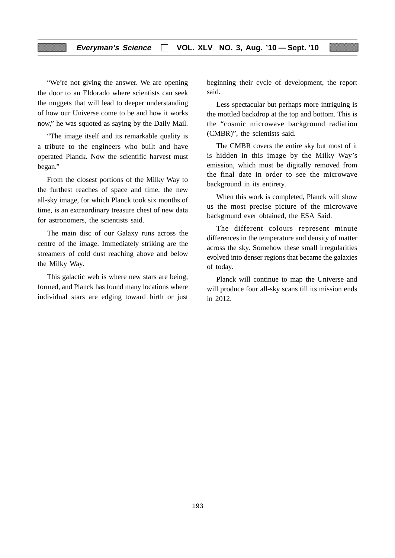# **Everyman's Science VOL. XLV NO. 3, Aug. '10 — Sept. '10**

"We're not giving the answer. We are opening the door to an Eldorado where scientists can seek the nuggets that will lead to deeper understanding of how our Universe come to be and how it works now," he was squoted as saying by the Daily Mail.

"The image itself and its remarkable quality is a tribute to the engineers who built and have operated Planck. Now the scientific harvest must began."

From the closest portions of the Milky Way to the furthest reaches of space and time, the new all-sky image, for which Planck took six months of time, is an extraordinary treasure chest of new data for astronomers, the scientists said.

The main disc of our Galaxy runs across the centre of the image. Immediately striking are the streamers of cold dust reaching above and below the Milky Way.

This galactic web is where new stars are being, formed, and Planck has found many locations where individual stars are edging toward birth or just beginning their cycle of development, the report said.

Less spectacular but perhaps more intriguing is the mottled backdrop at the top and bottom. This is the "cosmic microwave background radiation (CMBR)", the scientists said.

The CMBR covers the entire sky but most of it is hidden in this image by the Milky Way's emission, which must be digitally removed from the final date in order to see the microwave background in its entirety.

When this work is completed, Planck will show us the most precise picture of the microwave background ever obtained, the ESA Said.

The different colours represent minute differences in the temperature and density of matter across the sky. Somehow these small irregularities evolved into denser regions that became the galaxies of today.

Planck will continue to map the Universe and will produce four all-sky scans till its mission ends in 2012.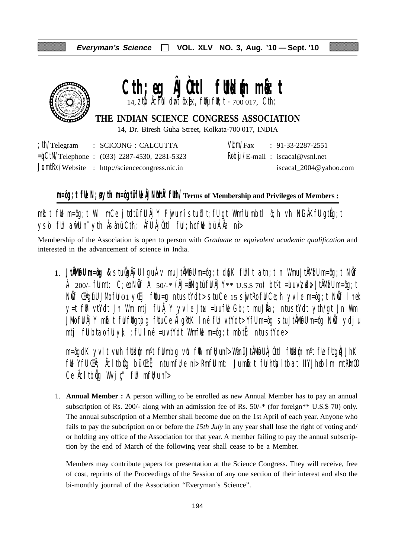

# Cth; eg **ÂJûti** futklm minst  $14$ , ztp  $\lambda$  chink dumt ôx[ex, ftluj ftl; t - 700 017, Cth;

# **THE INDIAN SCIENCE CONGRESS ASSOCIATION**

14, Dr. Biresh Guha Street, Kolkata-700 017, INDIA

|  | $\therefore$ th/Telegram $\therefore$ SCICONG $\therefore$ CALCUTTA |  | $VU/m/Fax$ : 91-33-2287-2551                     |
|--|---------------------------------------------------------------------|--|--------------------------------------------------|
|  | $=\n\frac{1}{2}$ CtM/Telephone : (033) 2287-4530, 2281-5323         |  | $\frac{R}{\theta}$ bij /E-mail: iscacal@vsnl.net |
|  | $JcmłRx/Website$ : http://sciencecongress.nic.in                    |  | iscacal_2004@yahoo.com                           |

# **m=ôg;t fUe N;uø ytih m=ôgtü fUe ÂJNuMtÂ"fUth/Terms of Membership and Privileges of Members :**

 $m$ b:t fue m=ôg;t WI mCe jtudtü ful Âj Y Fuju nî stu ôlt;fU gt Wmfulmbtl ô;h vh NiGÂKfU gtug;t ysd fih arfli nî yth Âsànü Cth; Âfli ÂJùttl fii ; h¢fli bü ÁÂa nî>

Membership of the Association is open to person with *Graduate or equivalent academic qualification* and interested in the advancement of science in India.

1. **JtÂMøfU m=ôg &** stu ÔgÂÿU lgu Áv mu JtÂMøfU m=ôg;t d{nK fUhlt atn;t ni Wmu JtÂMøfU m=ôg;t NwÖf Á 200/- fümt: C;eo Nöf Á 50/-\* (ÂJ=åNgtü fü Âj Y\*\*  $U.S.S.$  70) bt<sup>o</sup>t =ulu v $\nabla$ udu+ JtÂMofu m=ôg;t Nif ŒAgifU JMo fiJ 01 yŒij fUtu=¤ ntu stYdt> stu Ce 15 swjtRo fiJ Ce;h yvle m=ôg;t Nif I nek y=t füh vtYdt Jn Wm mtj fü $\hat{A}$ jY yvle Jtux =ulu fül Gb;t mu J $\hat{A}a$ ; ntu stYdt yth/gt Jn Wm JMo fü Âj Y mbi:t fü füqtojq füu Ce ÂlgktK I né füh vtYdt> Yfü m=ôg stu JtÂMofü m=ôg Nöf ydju mtj fülbta $\delta$  fülyk; ; fülné =u vtYdt WmfWe m=ôg;t mbtË; ntu stYde>

m=ôgdK yvlt vwh füldin m°t fülmbg vin füh mfü;unî> Wànü JtÂMofü ÂJÒttl füldin m°t füe fügiÅJhK ful Yfu Ch; Acltbig bü Cti; ntu mfl; e ni> Rmfu mt: Ju mb:t fu htusltbat IIYJhebilm mtRkmOO Ce  $\hat{A}$ cltb $\hat{q}$ g Wvj $\hat{c}$ " f $\hat{b}$ h mf $\hat{b}$ u nî >

1. **Annual Member :** A person willing to be enrolled as new Annual Member has to pay an annual subscription of Rs. 200/- along with an admission fee of Rs. 50/-\* (for foreign\*\* U.S.\$ 70) only. The annual subscription of a Member shall become due on the 1st April of each year. Anyone who fails to pay the subcription on or before the *15th July* in any year shall lose the right of voting and/ or holding any office of the Association for that year. A member failing to pay the annual subscription by the end of March of the following year shall cease to be a Member.

Members may contribute papers for presentation at the Science Congress. They will receive, free of cost, reprints of the Proceedings of the Session of any one section of their interest and also the bi-monthly journal of the Association "Everyman's Science".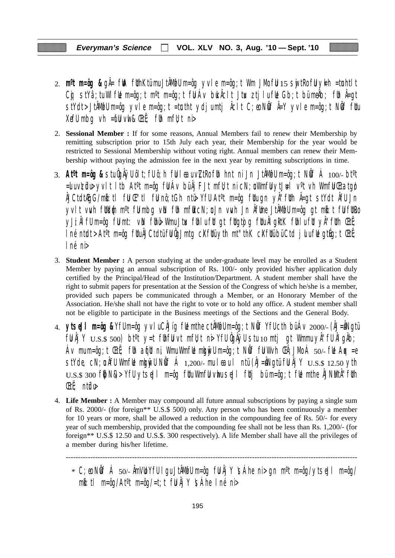- 2. **m<sup>o</sup>t m=ôg &** gÅ= fWA fUthKtümu JtÅMwfU m=ôg yvle m=ôg;t Wm JMo fU 15 swjtRo fU yk=h =tunhtlt Cg stYâ;tu WlfUe m=ôg;t m<sup>o</sup>t m=ôg;t fU Áv buk Âclt Jtux ztjlu fUe Gb;t bü meÂb; fUn Â=gt stYdt>JtÂM@Um=ôg yvle m=ôg;t =tœtht ydjumtj Åclt C;eo NÖf Å=Y yvle m=ôg;t NÖf fUu XefU mbg vh =  $\mathbf{f}$ U vwl &  $\mathbf{E}$ t $\ddot{\mathbf{f}}$ ; fUh mfU; t ni
- 2. **Sessional Member :** If for some reasons, Annual Members fail to renew their Membership by remitting subscription prior to 15th July each year, their Membership for the year would be restricted to Sessional Membership without voting right. Annual members can renew their Membership without paying the admission fee in the next year by remitting subscriptions in time.
- 3. **Atºt m=ôg &** stu ÔgÂÿU ôlt;fU ô;h fuU leau v\ZtRo fUh hnt ni Jn JtÂMøfU m=ôg;t NwÖf Á 100/- btºt  $=$ ulu v $\tt z$ üdu yvlt ltb At<sup>o</sup>t m=ôg fül Áv bü Âj FJt mfltt ni cN;u Wmfü ytJ $\texttt{H}$ l v<sup>o</sup>t vh Wmfü Ctatgø ÂJCtdtÆgG/mkô:tl fuU Œ"tl fuU nô;tGh ntü> YfU Atºt m=ôg fUtu gn yÂ"fUth Â=gt stYdt ÂfU Jn yvlt vwh futkum m<sup>o</sup>t fulmbg vin fuh mfut cN;u Jn vwh Jn Âfume JtÂMofu m=ôg gt mbit ful futro yJi;ÂlfU m=ôg fümt: vin fühü> Wmu Jtux fühlu füt gt fütgtojg fütu ÂlgktK fühlu füt yÂ"füth ŒtË;  $\ln$ é ntudt > At<sup>o</sup>t m=ôg futu $\hat{A}$ JCtdtü fu $\hat{Q}$ Jmtg c $X$ futü yth mt"thK c $X$ futü bü Ctd julu fue gtúg;t Œtë; lné ni>
- 3. **Student Member :** A person studying at the under-graduate level may be enrolled as a Student Member by paying an annual subscription of Rs. 100/- only provided his/her application duly certified by the Principal/Head of the Institution/Department. A student member shall have the right to submit papers for presentation at the Session of the Congress of which he/she is a member, provided such papers be communicated through a Member, or an Honorary Member of the Association. He/she shall not have the right to vote or to hold any office. A student member shall not be eligible to participate in the Business meetings of the Sections and the General Body.
- 4. **ytseJl m=ôg &** YfU m=ôg yvlu CÂJíg fUe mthe ctÂMøfU m=ôg;t NwÖf YfU cth bü Áv 2000/- (ÂJ=uÂNgtü  $f \llbracket \mathbf{U} \rrbracket$   $\llbracket \mathbf{Y} \rrbracket$   $\cup$   $\llbracket \mathbf{S} \rrbracket$   $\llbracket \mathbf{S} \rrbracket$  bt<sup>o</sup>t  $\lor$   $\llbracket \mathbf{U} \rrbracket$   $\llbracket \mathbf{U} \rrbracket$   $\llbracket \mathbf{U} \rrbracket$   $\llbracket \mathbf{U} \rrbracket$   $\llbracket \mathbf{U} \rrbracket$   $\llbracket \mathbf{U} \rrbracket$   $\llbracket \mathbf{U} \rrbracket$   $\llbracket \mathbf{U} \rrbracket$ Áv mu m=ôg;t ŒtË; fUh aqfut ni, Wmu WmfLe mkgnivU m=ôg;t NÖff fU W $\vee$ h ŒÂ;JMo Á 50/- fLe Aqx =e stYde, cN;  $\mathfrak a$  ÂfU WmfUe mku vull N $\mathfrak b$ f Á 1,200/- mu leau l ntü (ÂJ=ÂNgtü fU Âj Y  $\mathop{\rm U.S.}\nolimits$  12.50 yth  $U.S.S.$  300 f $|bN\&>$  YfU ytseJI m=ôg fUtu WmfU vhu seJI fUtj bü m=ôg;t fUe mthe ÅJNMtÅ''fUth ŒtË; ntüdu>
- 4. **Life Member :** A Member may compound all future annual subscriptions by paying a single sum of Rs. 2000/- (for foreign\*\* U.S.\$ 500) only. Any person who has been continuously a member for 10 years or more, shall be allowed a reduction in the compounding fee of Rs. 50/- for every year of such membership, provided that the compounding fee shall not be less than Rs. 1,200/- (for foreign\*\* U.S.\$ 12.50 and U.S.\$. 300 respectively). A life Member shall have all the privileges of a member during his/her lifetime.

-----------------------------------------------------------------------------------------------------------------------

 $*$  C;eo NÖf Á 50/- ÂmVLO YfU I gu JtÂMufU m=ôg fU Âj Y  $\mathfrak{S}$ Áhe ni > gn m $\mathfrak{m}$ =ôg/ytseJl m=ôg/  $m\ddot{\bm{\delta}}$ :tl m=ôg/At<sup>o</sup>t m=ôg/=t;t fül Âj Y \sáhe Iné ni>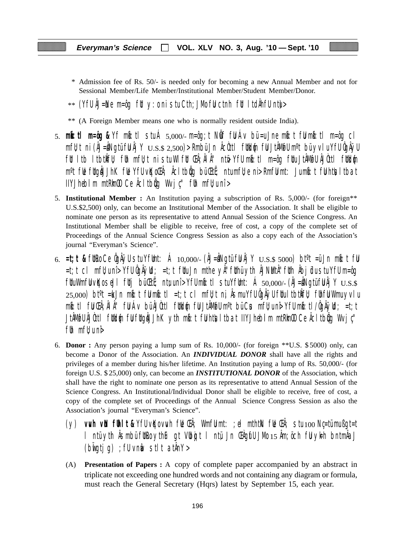- \* Admission fee of Rs. 50/- is needed only for becoming a new Annual Member and not for Sessional Member/Life Member/Institutional Member/Student Member/Donor.
- $**$  (YfU ÅJ=Ne m=ôg fUt y:o ni stu Cth;JMo fU ctnh fUt ItdÄhfU ntu $>$
- \*\* (A Foreign Member means one who is normally resident outside India).
- 5. **mkô:tl m=ôg &** Yf mkô:tl stu Á 5,000/- m=ôg;t NwÖf fuU Áv bü =u Jne mkô:t fuU mkô:tl m=ôg cl  $mf$ u;t ni (ÂJ=ÂNgtü fu Âj Y  $_{\rm U.S.S.}$   $_{\rm 2,500}$ )> Rmbü Jn Âcùttl futkum fu JtÂMofu m°t bü yvlu Yfu ÔgÂÿu fut ltb ltbtkÎfu); fuh mfujt ni stu Wlfut Chi; ÂlÂ'' ntë Yfu mbi:tl m=ôg futu JtÂMøfu ÂJÒttl futklýn m<sup>o</sup>t fl**e** fltgåJJhK fle YfU vKoCh; Åcltbig bü Ctt; ntumfl;e ni> RmfU mt: Jumb:t fU htlsltbat  $I$ IYJhebilm mtRm $\omega$  Ce  $\hat{A}$ cltb $\hat{q}$ q Wvj $\psi$ " fuh mf $\psi$ u nî >
- 5. **Institutional Member :** An Institution paying a subscription of Rs. 5,000/- (for foreign\*\* U.S.\$2,500) only, can become an Institutional Member of the Association. It shall be eligible to nominate one person as its representative to attend Annual Session of the Science Congress. An Institutional Member shall be eligible to receive, free of cost, a copy of the complete set of Proceedings of the Annual Science Congress Session as also a copy each of the Association's journal "Everyman's Science".
- 6.  $=t$ ;**t &** futro Ce ÔgÂÿU stu YfUmt: Á 10,000/- (ÂJ=ÂNgtü fu Âj Y  $U.S.S.5000$ ) bt<sup>o</sup>t =ü Jn mbi: t fu =t;t cl mfU;u nî> YfU ÔgÂÿUd; =t;t fUtu Jn mthe yÂ"fUthü ytih ÂJNuMtÂ"fUth Âbjüdu stu YfU m=ôg  $f$ UuWmfU vKo seJl futj bü $F$ utj; ntu;u nî> YfU mb: tl stu YfUmt: Á 50,000/- (ÂJ=ÂNgtü fU Åj Y  $_{\rm U.S.S.}$  $25,000$ ) bt $\textdegree t$  =ku Jn mbot fulmbot liet;t cl mfl $t$ t ni, Âsmu YfU ÔgÂÿU fltu ltbtkÎfl $t$  flhfu Wmu yvlu mkô:tl fuU ŒÂ;ÂlÂ" fuU Áv bü ÂJÒttl fUtkd{um fuU JtÂMøfU mºt bü Cus mfU;u nî> YfU mkô:tl/ÔgÂÿUd; =t;t JtÂM@U ÂJÒttl füld@n fül füqåJJhK yth mb:t fühtisltbat IIYJhebilm mtRimOO Ce Åcltbög Wvjç'' f $\mathfrak h$  mf $\mathfrak l$  uni $\mathfrak d$
- 6. **Donor :** Any person paying a lump sum of Rs. 10,000/- (for foreign \*\*U.S. \$ 5000) only, can become a Donor of the Association. An *INDIVIDUAL DONOR* shall have all the rights and privileges of a member during his/her lifetime. An Institution paying a lump of Rs. 50,000/- (for foreign U.S. \$ 25,000) only, can become an *INSTITUTIONAL DONOR* of the Association, which shall have the right to nominate one person as its representative to attend Annual Session of the Science Congress. An Institutional/Individual Donor shall be eligible to receive, free of cost, a copy of the complete set of Proceedings of the Annual Science Congress Session as also the Association's journal "Everyman's Science".
	- (y) **vuvh vuN fUhlt &** YfU vqKo vuvh fUe ŒÂ; WmfuU mt: ;el mthtkN fUe ŒÂ; stu 100 Nç=tü mu ßgt=t l ntü yth Âsmbü fut the gt Vubojt l ntü Jn Chgufu JMo 15 Âm; öch ful ykh bntmÂa J  $(b$ wigtig) ; fU vnm $a$  stlt at  $AnY >$
	- (A) **Presentation of Papers :** A copy of complete paper accompanied by an abstract in triplicate not exceeding one hundred words and not containing any diagram or formula, must reach the General Secretary (Hqrs) latest by September 15, each year.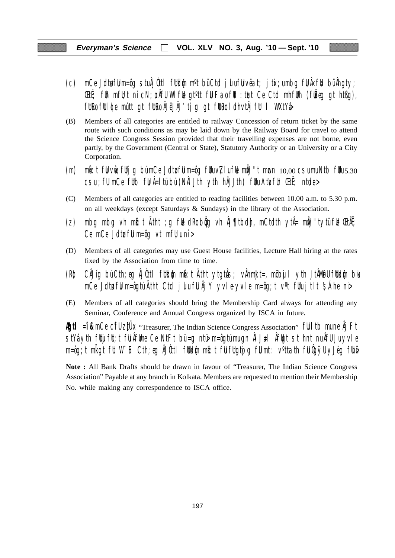# **Everyman's Science VOL. XLV NO. 3, Aug. '10 — Sept. '10**

- (c) mCe Jdtufuu m=ôg stu ÂJÒttl futkum m<sup>o</sup>t bü Ctd julu fuu vëat; jtix;u mbg fu Âxfuk bü Âhgty; **EtË**; fuh mfU; t ni cN; un AfU WI ful gt<sup>o</sup>tt ful Fao ful : tuzt Ce Ctd mhfuth (fu $\check{E}$ eg gt htßg), fütro fülde mútt gt fütro ÁJëJÄJ'tjg gt fütro ldhvtÅjfül l WXtYå
- (B) Members of all categories are entitled to railway Concession of return ticket by the same route with such conditions as may be laid down by the Railway Board for travel to attend the Science Congress Session provided that their travelling expenses are not borne, even partly, by the Government (Central or State), Statutory Authority or an University or a City Corporation.
- (m) mb: t fu vue; futjg bü mCe Jdtu fu m=ôg fuu v $Z$ lu fue můJ"t mucn  $10,00$  csu mu Ntb fuu  $5.30$  $\overline{c}$ su ; fU mCe futb fu Â=ltü bü (NÂI Jth yth hÂJJth) fuu Atu $\overline{c}$ fuh ŒtË; ntude>
- (C) Members of all categories are entitled to reading facilities between 10.00 a.m. to 5.30 p.m. on all weekdays (except Saturdays & Sundays) in the library of the Association.
- (z) mbg mbg vh m $\mathfrak{b}:$ t Atht ;g f $\mathfrak{b}$  dRo b $\mathfrak{g}$ g vh ÅJ¶tbd $\mathfrak{h}$ , mCtdth ytÅ= m $\mathfrak{h}$ J"tytü f $\mathfrak{b}$  ŒtÃE; Ce mCe Jdtu ful m=ôg vt mfl $\nu$ u nî >
- (D) Members of all categories may use Guest House facilities, Lecture Hall hiring at the rates fixed by the Association from time to time.
- (R) CÂJíg bü Cth;eg ÂJÒttl füld{n mb:t Ätht ytgtuŝ; vÅhmkJt=, möbujl yth JtÂMøfU füld{n blo mCe Jdtu fuu m=ôgtü Ãtht Ctd julu fu Âj Y yvle-yvle m=ôg;t v<sup>o</sup>t fuu jtlt  $\sinh$ e ni>
- (E) Members of all categories should bring the Membership Card always for attending any Seminar, Conference and Annual Congress organized by ISCA in future.

**Egtl = î &** mCe CifU ztUX "Treasurer, The Indian Science Congress Association" full tb mune Âj Ft  $\frac{1}{10}$ stYâ yth fuijfut;t fu Âfume Ce NtFt bü=ug ntü $\frac{1}{10}$  m=ôgtü mu gn ÂlJ $\frac{1}{10}$ l  $\frac{1}{10}$ t st hnt nu ÂfU Ju yvle m=ôg;t mligt fit W¨iF Cth;eg ÂJûttl fitkl{n mb}t fijfligtojg fijmt: v°ttath fijûgÿU yJëg fihë

**Note :** All Bank Drafts should be drawn in favour of "Treasurer, The Indian Science Congress Association" Payable at any branch in Kolkata. Members are requested to mention their Membership No. while making any correspondence to ISCA office.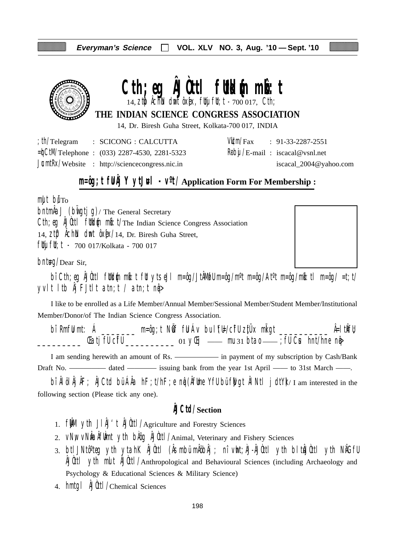

# Cth;eg **AJOttl futkl**{m mbott 14, ztp  $\lim_{h \to 0}$  dmt ôx[x, flty flt; t - 700 017, Cth;

**THE INDIAN SCIENCE CONGRESS ASSOCIATION**

14, Dr. Biresh Guha Street, Kolkata-700 017, INDIA

| th/Telegram | : SCICONG : CALCUTTA                                    |  | $VU/m/Fax$ : 91-33-2287-2551            |
|-------------|---------------------------------------------------------|--|-----------------------------------------|
|             | $=\n\frac{1}{2}$ Telephone : (033) 2287-4530, 2281-5323 |  | $R\theta$ bij /E-mail: iscacal@vsnl.net |
|             | $JcmłRx/Website$ : http://sciencecongress.nic.in        |  | iscacal_2004@yahoo.com                  |

# **m=ôg;t fUÂj Y ytJ#l - v<sup>o</sup>t/Application Form For Membership :**

mult bu<sup>'</sup>To

 $\Delta J$  (build ig)/ The General Secretary Cth; eg ÂJÙttl futblin milit/The Indian Science Congress Association 14,  $Zt\mathbf{D}$   $\hat{\theta}$ ch $\hat{\theta}$  dmt  $\hat{\theta}$ x $\hat{\theta}$ x $/14$ , Dr. Biresh Guha Street, fluj flu; t - 700 017/Kolkata - 700 017

 $b$ nt $\text{Hq}/\text{Dear}$  Sir,

bî Cth; eg ÂJÒttl füldin mið: t füt ytseJl m=ôg/JtÂMøfU m=ôg/m<sup>o</sup>t m=ôg/At<sup>o</sup>t m=ôg/mið: tl m=ôg/ =t;t/ yvlt ltb  $\hat{A}$ j FJtlt atn;t / atn;t n $\hat{q}$ 

I like to be enrolled as a Life Member/Annual Member/Sessional Member/Student Member/Institutional Member/Donor/of The Indian Science Congress Association.

bî RmfU mt: Á \_\_\_\_\_\_\_ m=ôg;t NÖf fU Áv bu lYEl/cifU zitÜx miligt \_\_\_\_\_\_\_\_\_\_ Â=ltikfU; \_\_\_\_\_\_\_\_\_ ŒatjfU cîfU \_\_\_\_\_\_\_\_\_\_ 01 yŒij —— mu 31 btao —— ;fU Cus hnt/hne nqâ>

I am sending herewith an amount of Rs. —————— in payment of my subscription by Cash/Bank Draft No. ————— dated — issuing bank from the year 1st April — to 31st March — .

bî ÂlölÂjÂF; ÂJCtd bü ÂÂa hF;t/hF;e ng (ÂfUme YfU bü fWgt ÂlNtl jdtY)/I am interested in the following section (Please tick any one).

# **ÂJCtd/Section**

- 1.  $f \mathbf{M}$  yth  $J \mathbf{M}'$ t  $\mathbf{M}$ Utl/Agriculture and Forestry Sciences
- 2. VNW VNIa Aflint yth bAog AJOttl/Animal, Veterinary and Fishery Sciences
- 3. btlJNtô°teg yth ytahK ÂJÒttl (Âsmbü mÂöbÂj ; nî vht;ÀJ-ÂJÒttl yth bltÂJÒttl yth NÂGfU ÂJÒttl ytih mult ÂJÒttl/Anthropological and Behavioural Sciences (including Archaeology and Psychology & Educational Sciences & Military Science)
- 4. hmtgl AJ0ttl/Chemical Sciences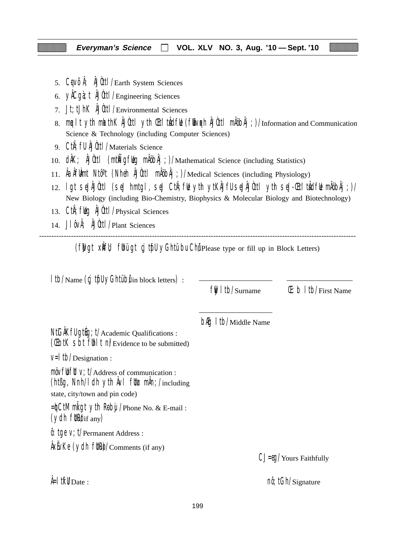- 5. CqVÕÅ; ÅJÙttl/Earth System Sciences
- 6. yÂCgà;t ÂJÒttl/Engineering Sciences
- 7. Jt;tJhK ÂJÒttl/Environmental Sciences
- 8. mualt yth mkathK ÂJÙttl yth Chi'tuÂdful (fubvoch ÂJÙttl mÅöbÂj;)/Information and Communication Science & Technology (including Computer Sciences)
- 9. CtiÂ;fU ÂJÒttl/Materials Science
- 10. dÂK; ÂJÙttl (mtÑigfug mÂöbÂj;)/Mathematical Science (including Statistics)
- 11. ÂaÂfUÀmt Ntôºt (Nheh ÂJÒttl mÂöbÂj;)/Medical Sciences (including Physiology)
- 12. lgt seJÂJÒttl (seJ hmtgl, seJ CtiÂ;fUe ytih ytKÂJfU seJÂJÒttl ytih seJ-Œti'tuÂdfUe mÂöbÂj;)/ New Biology (including Bio-Chemistry, Biophysics & Molecular Biology and Biotechnology)
- 13. Cth; fulg AJUttl / Physical Sciences
- 14. J $\int \hat{\theta} \vee \hat{\theta}$ ;  $\hat{\theta}$ Uutt $\int$ Plant Sciences

--------------------------------------------------------------------------------------------------------------------------------- (fwgt xift); fuhui gt cj tuful yGhtu bu Chu Please type or fill up in Block Letters)

| Itb/Name (cj tfll yGhtübilin block letters) :                                                                                                                              |                                        |                                           |
|----------------------------------------------------------------------------------------------------------------------------------------------------------------------------|----------------------------------------|-------------------------------------------|
|                                                                                                                                                                            | $\frac{f}{f}$   tb/Surname             | $(E: b   t b / F$ irst Name               |
| NtGAKfU gtug; t/Academic Qualifications :<br>(Cibil Sbi fill I ni/Evidence to be submitted)                                                                                | <b>b<sub>f</sub>g</b> I tb/Middle Name |                                           |
| $V=$   tb/Designation :                                                                                                                                                    |                                        |                                           |
| $m\ddot{o}v$ full $v$ ; $t/A$ ddress of communication :<br>(ht $\beta$ g, Nnh/I dh yth $\hat{A}$ vI flt $\chi$ m $\hat{A}$ n; /including<br>state, city/town and pin code) |                                        |                                           |
| =hCtM ml gt yth Roby / Phone No. & E-mail:<br>$(ydh$ fltk $\mathbf{W}$ if any)                                                                                             |                                        |                                           |
| $\hat{\theta}$ : tge V; t/Permanent Address :                                                                                                                              |                                        |                                           |
| $\frac{\hat{A}}{\hat{A}}$ XEVKe (ydh fltR $\hat{O}/$ Comments (if any)                                                                                                     |                                        | $CJ = \theta Q / \text{Yours}$ Faithfully |
| $\frac{1}{2}$ if $\mathsf{W}_{\mathrm{Date}}$ :                                                                                                                            |                                        | $n\hat{\theta}$ ; tGh/Signature           |